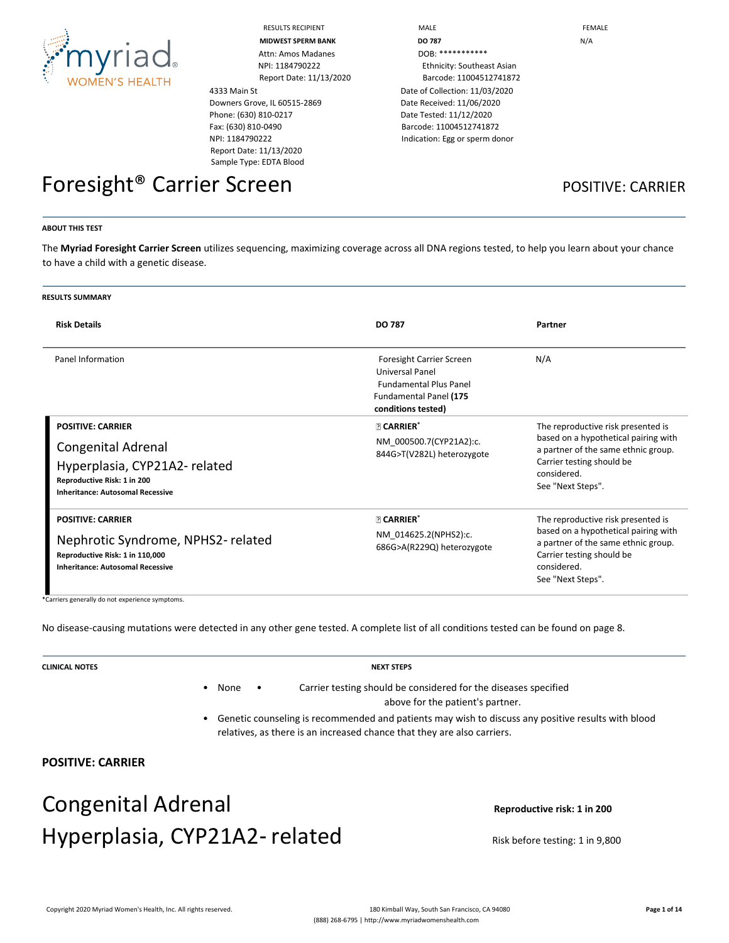

4333 Main St Downers Grove, IL 60515-2869 Phone: (630) 810-0217 Fax: (630) 810-0490 NPI: 1184790222 Report Date: 11/13/2020 Sample Type: EDTA Blood

RESULTS RECIPIENT **A RECOMBED TO A RECONOMIC MALE FEMALE MIDWEST SPERM BANK DO 787 DO 787 N**/A NPI: 1184790222 Ethnicity: Southeast Asian Report Date: 11/13/2020 Barcode: 11004512741872 Date of Collection: 11/03/2020 Date Received: 11/06/2020 Date Tested: 11/12/2020 Barcode: 11004512741872 Indication: Egg or sperm donor

## Foresight<sup>®</sup> Carrier Screen **POSITIVE: CARRIER**

#### **ABOUT THIS TEST**

The **Myriad Foresight Carrier Screen** utilizes sequencing, maximizing coverage across all DNA regions tested, to help you learn about your chance to have a child with a genetic disease.

| <b>RESULTS SUMMARY</b>                                                                                                                                   |                                                                                                                                     |                                                                                                                                                                                    |  |
|----------------------------------------------------------------------------------------------------------------------------------------------------------|-------------------------------------------------------------------------------------------------------------------------------------|------------------------------------------------------------------------------------------------------------------------------------------------------------------------------------|--|
| <b>Risk Details</b>                                                                                                                                      | <b>DO 787</b>                                                                                                                       | Partner                                                                                                                                                                            |  |
| Panel Information                                                                                                                                        | Foresight Carrier Screen<br><b>Universal Panel</b><br><b>Fundamental Plus Panel</b><br>Fundamental Panel (175<br>conditions tested) | N/A                                                                                                                                                                                |  |
| <b>POSITIVE: CARRIER</b><br>Congenital Adrenal<br>Hyperplasia, CYP21A2-related<br>Reproductive Risk: 1 in 200<br><b>Inheritance: Autosomal Recessive</b> | <b>PICARRIER*</b><br>NM 000500.7(CYP21A2):c.<br>844G>T(V282L) heterozygote                                                          | The reproductive risk presented is<br>based on a hypothetical pairing with<br>a partner of the same ethnic group.<br>Carrier testing should be<br>considered.<br>See "Next Steps". |  |
| <b>POSITIVE: CARRIER</b><br>Nephrotic Syndrome, NPHS2-related<br>Reproductive Risk: 1 in 110,000<br><b>Inheritance: Autosomal Recessive</b>              | <b>PICARRIER*</b><br>NM 014625.2(NPHS2):c.<br>686G>A(R229Q) heterozygote                                                            | The reproductive risk presented is<br>based on a hypothetical pairing with<br>a partner of the same ethnic group.<br>Carrier testing should be<br>considered.<br>See "Next Steps". |  |

\*Carriers generally do not experience symptoms.

No disease-causing mutations were detected in any other gene tested. A complete list of all conditions tested can be found on page 8.

**CLINICAL NOTES NEXT STEPS**

- None Carrier testing should be considered for the diseases specified above for the patient's partner.
- Genetic counseling is recommended and patients may wish to discuss any positive results with blood relatives, as there is an increased chance that they are also carriers.

#### **POSITIVE: CARRIER**

## Congenital Adrenal **Congenital** Adrenal **Reproductive risk:** 1 in 200 Hyperplasia, CYP21A2-related Risk before testing: 1 in 9,800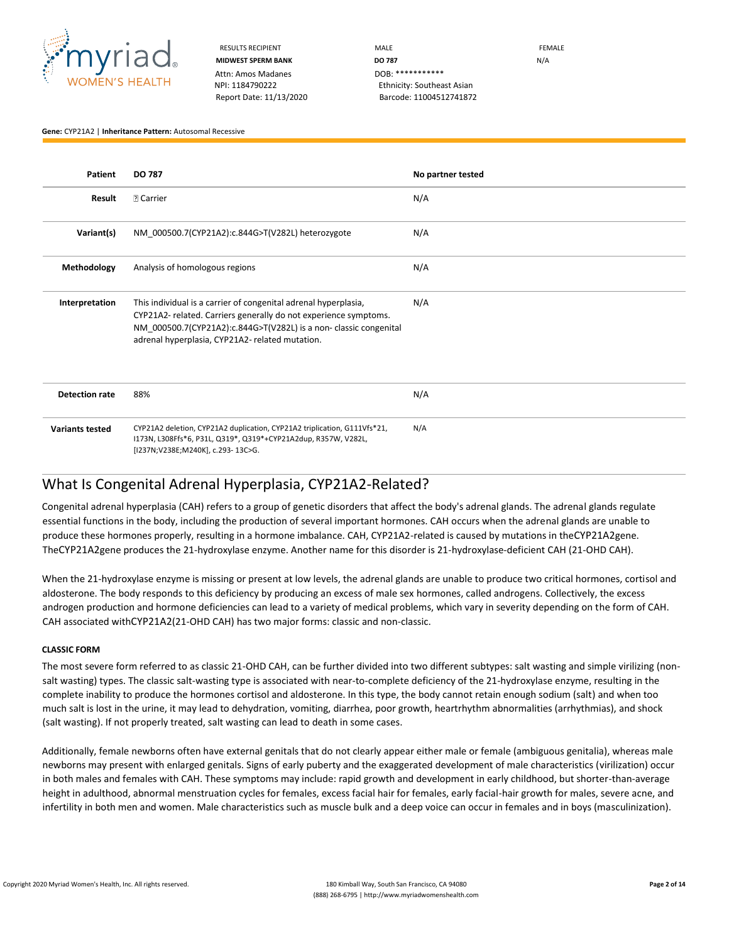

RESULTS RECIPIENT **MALE** MALE **MALE EXAMPLE MIDWEST SPERM BANK DO 787** N/A NPI: 1184790222 Ethnicity: Southeast Asian Report Date: 11/13/2020 Barcode: 11004512741872

**Gene:** CYP21A2 | **Inheritance Pattern:** Autosomal Recessive

| Patient                | <b>DO 787</b>                                                                                                                                                                                                                                             | No partner tested |
|------------------------|-----------------------------------------------------------------------------------------------------------------------------------------------------------------------------------------------------------------------------------------------------------|-------------------|
| Result                 | <b>2 Carrier</b>                                                                                                                                                                                                                                          | N/A               |
| Variant(s)             | NM 000500.7(CYP21A2):c.844G>T(V282L) heterozygote                                                                                                                                                                                                         | N/A               |
| Methodology            | Analysis of homologous regions                                                                                                                                                                                                                            | N/A               |
| Interpretation         | This individual is a carrier of congenital adrenal hyperplasia,<br>CYP21A2-related. Carriers generally do not experience symptoms.<br>NM 000500.7(CYP21A2):c.844G>T(V282L) is a non-classic congenital<br>adrenal hyperplasia, CYP21A2- related mutation. | N/A               |
| <b>Detection rate</b>  | 88%                                                                                                                                                                                                                                                       | N/A               |
| <b>Variants tested</b> | CYP21A2 deletion, CYP21A2 duplication, CYP21A2 triplication, G111Vfs*21,<br>I173N, L308Ffs*6, P31L, Q319*, Q319*+CYP21A2dup, R357W, V282L,<br>[I237N;V238E;M240K], c.293-13C>G.                                                                           | N/A               |

#### What Is Congenital Adrenal Hyperplasia, CYP21A2-Related?

Congenital adrenal hyperplasia (CAH) refers to a group of genetic disorders that affect the body's adrenal glands. The adrenal glands regulate essential functions in the body, including the production of several important hormones. CAH occurs when the adrenal glands are unable to produce these hormones properly, resulting in a hormone imbalance. CAH, CYP21A2-related is caused by mutations in theCYP21A2gene. TheCYP21A2gene produces the 21-hydroxylase enzyme. Another name for this disorder is 21-hydroxylase-deficient CAH (21-OHD CAH).

When the 21-hydroxylase enzyme is missing or present at low levels, the adrenal glands are unable to produce two critical hormones, cortisol and aldosterone. The body responds to this deficiency by producing an excess of male sex hormones, called androgens. Collectively, the excess androgen production and hormone deficiencies can lead to a variety of medical problems, which vary in severity depending on the form of CAH. CAH associated withCYP21A2(21-OHD CAH) has two major forms: classic and non-classic.

#### **CLASSIC FORM**

The most severe form referred to as classic 21-OHD CAH, can be further divided into two different subtypes: salt wasting and simple virilizing (nonsalt wasting) types. The classic salt-wasting type is associated with near-to-complete deficiency of the 21-hydroxylase enzyme, resulting in the complete inability to produce the hormones cortisol and aldosterone. In this type, the body cannot retain enough sodium (salt) and when too much salt is lost in the urine, it may lead to dehydration, vomiting, diarrhea, poor growth, heartrhythm abnormalities (arrhythmias), and shock (salt wasting). If not properly treated, salt wasting can lead to death in some cases.

Additionally, female newborns often have external genitals that do not clearly appear either male or female (ambiguous genitalia), whereas male newborns may present with enlarged genitals. Signs of early puberty and the exaggerated development of male characteristics (virilization) occur in both males and females with CAH. These symptoms may include: rapid growth and development in early childhood, but shorter-than-average height in adulthood, abnormal menstruation cycles for females, excess facial hair for females, early facial-hair growth for males, severe acne, and infertility in both men and women. Male characteristics such as muscle bulk and a deep voice can occur in females and in boys (masculinization).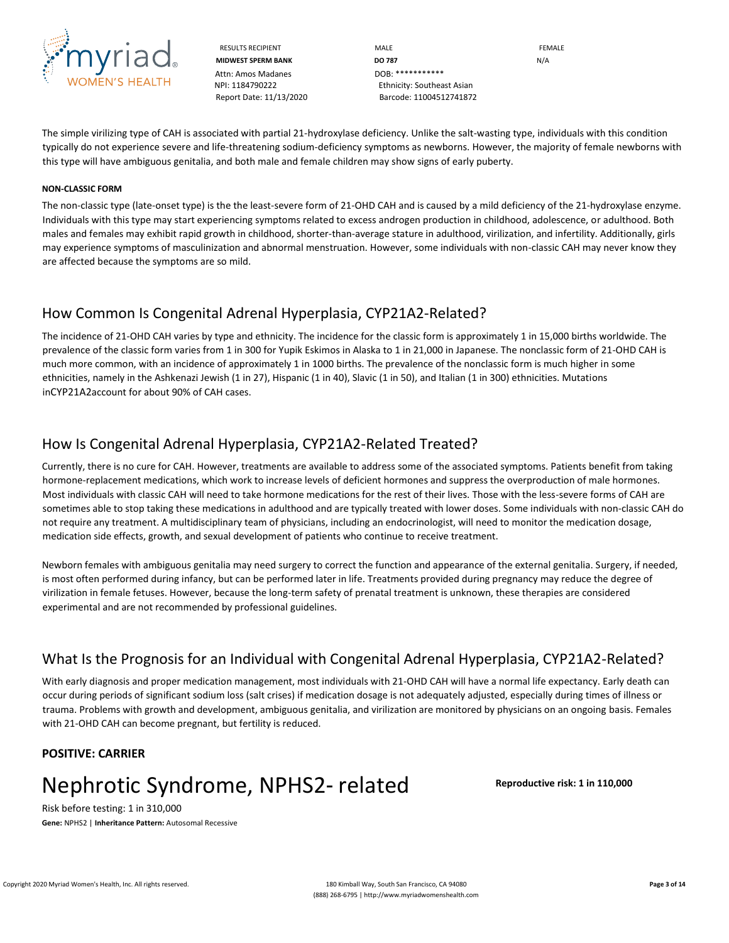

Attn: Amos Madanes **DOB:** \*\*\*\*\*\*\*\*\*\*\*\* NPI: 1184790222 Ethnicity: Southeast Asian

RESULTS RECIPIENT **MALE** MALE **MALE EXAMPLE MIDWEST SPERM BANK DO 787** N/A Report Date: 11/13/2020 Barcode: 11004512741872

The simple virilizing type of CAH is associated with partial 21-hydroxylase deficiency. Unlike the salt-wasting type, individuals with this condition typically do not experience severe and life-threatening sodium-deficiency symptoms as newborns. However, the majority of female newborns with this type will have ambiguous genitalia, and both male and female children may show signs of early puberty.

#### **NON-CLASSIC FORM**

The non-classic type (late-onset type) is the the least-severe form of 21-OHD CAH and is caused by a mild deficiency of the 21-hydroxylase enzyme. Individuals with this type may start experiencing symptoms related to excess androgen production in childhood, adolescence, or adulthood. Both males and females may exhibit rapid growth in childhood, shorter-than-average stature in adulthood, virilization, and infertility. Additionally, girls may experience symptoms of masculinization and abnormal menstruation. However, some individuals with non-classic CAH may never know they are affected because the symptoms are so mild.

#### How Common Is Congenital Adrenal Hyperplasia, CYP21A2-Related?

The incidence of 21-OHD CAH varies by type and ethnicity. The incidence for the classic form is approximately 1 in 15,000 births worldwide. The prevalence of the classic form varies from 1 in 300 for Yupik Eskimos in Alaska to 1 in 21,000 in Japanese. The nonclassic form of 21-OHD CAH is much more common, with an incidence of approximately 1 in 1000 births. The prevalence of the nonclassic form is much higher in some ethnicities, namely in the Ashkenazi Jewish (1 in 27), Hispanic (1 in 40), Slavic (1 in 50), and Italian (1 in 300) ethnicities. Mutations inCYP21A2account for about 90% of CAH cases.

### How Is Congenital Adrenal Hyperplasia, CYP21A2-Related Treated?

Currently, there is no cure for CAH. However, treatments are available to address some of the associated symptoms. Patients benefit from taking hormone-replacement medications, which work to increase levels of deficient hormones and suppress the overproduction of male hormones. Most individuals with classic CAH will need to take hormone medications for the rest of their lives. Those with the less-severe forms of CAH are sometimes able to stop taking these medications in adulthood and are typically treated with lower doses. Some individuals with non-classic CAH do not require any treatment. A multidisciplinary team of physicians, including an endocrinologist, will need to monitor the medication dosage, medication side effects, growth, and sexual development of patients who continue to receive treatment.

Newborn females with ambiguous genitalia may need surgery to correct the function and appearance of the external genitalia. Surgery, if needed, is most often performed during infancy, but can be performed later in life. Treatments provided during pregnancy may reduce the degree of virilization in female fetuses. However, because the long-term safety of prenatal treatment is unknown, these therapies are considered experimental and are not recommended by professional guidelines.

### What Is the Prognosis for an Individual with Congenital Adrenal Hyperplasia, CYP21A2-Related?

With early diagnosis and proper medication management, most individuals with 21-OHD CAH will have a normal life expectancy. Early death can occur during periods of significant sodium loss (salt crises) if medication dosage is not adequately adjusted, especially during times of illness or trauma. Problems with growth and development, ambiguous genitalia, and virilization are monitored by physicians on an ongoing basis. Females with 21-OHD CAH can become pregnant, but fertility is reduced.

#### **POSITIVE: CARRIER**

## Nephrotic Syndrome, NPHS2‑ related **Reproductive risk: 1 in 110,000**

Risk before testing: 1 in 310,000 **Gene:** NPHS2 | **Inheritance Pattern:** Autosomal Recessive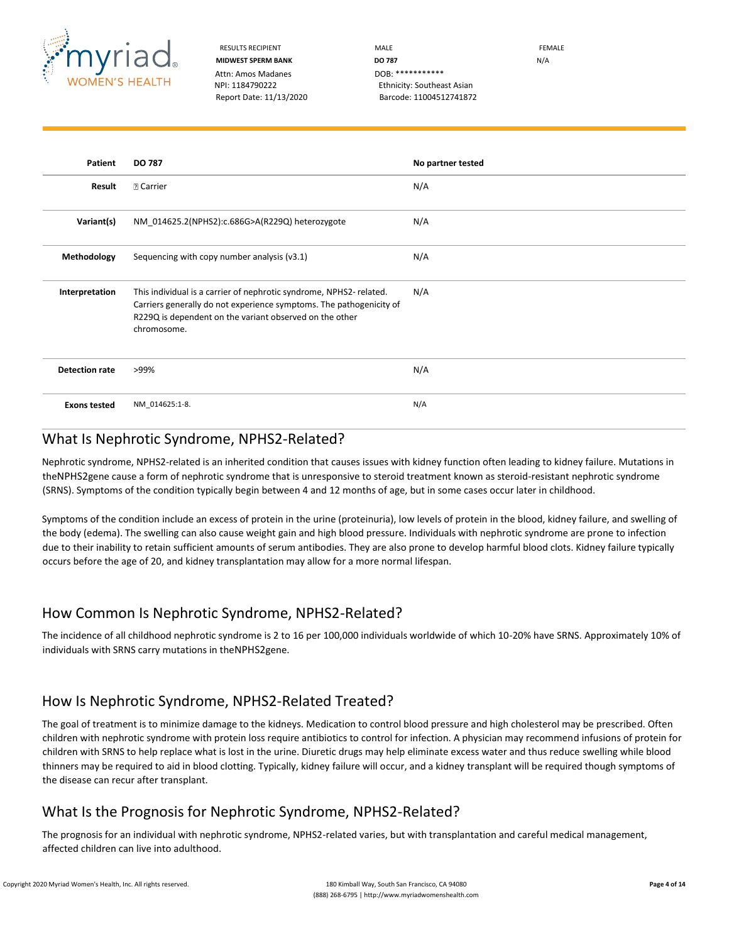

RESULTS RECIPIENT **MALE** MALE **MALE EXAMPLE MIDWEST SPERM BANK DO 787** N/A NPI: 1184790222 Ethnicity: Southeast Asian Report Date: 11/13/2020 Barcode: 11004512741872

| Patient               | <b>DO 787</b>                                                                                                                                                                                                       | No partner tested |
|-----------------------|---------------------------------------------------------------------------------------------------------------------------------------------------------------------------------------------------------------------|-------------------|
| Result                | <b>D</b> Carrier                                                                                                                                                                                                    | N/A               |
| Variant(s)            | NM 014625.2(NPHS2):c.686G>A(R229Q) heterozygote                                                                                                                                                                     | N/A               |
| Methodology           | Sequencing with copy number analysis (v3.1)                                                                                                                                                                         | N/A               |
| Interpretation        | This individual is a carrier of nephrotic syndrome, NPHS2-related.<br>Carriers generally do not experience symptoms. The pathogenicity of<br>R229Q is dependent on the variant observed on the other<br>chromosome. | N/A               |
| <b>Detection rate</b> | >99%                                                                                                                                                                                                                | N/A               |
| <b>Exons tested</b>   | NM_014625:1-8.                                                                                                                                                                                                      | N/A               |

### What Is Nephrotic Syndrome, NPHS2-Related?

Nephrotic syndrome, NPHS2-related is an inherited condition that causes issues with kidney function often leading to kidney failure. Mutations in theNPHS2gene cause a form of nephrotic syndrome that is unresponsive to steroid treatment known as steroid-resistant nephrotic syndrome (SRNS). Symptoms of the condition typically begin between 4 and 12 months of age, but in some cases occur later in childhood.

Symptoms of the condition include an excess of protein in the urine (proteinuria), low levels of protein in the blood, kidney failure, and swelling of the body (edema). The swelling can also cause weight gain and high blood pressure. Individuals with nephrotic syndrome are prone to infection due to their inability to retain sufficient amounts of serum antibodies. They are also prone to develop harmful blood clots. Kidney failure typically occurs before the age of 20, and kidney transplantation may allow for a more normal lifespan.

### How Common Is Nephrotic Syndrome, NPHS2-Related?

The incidence of all childhood nephrotic syndrome is 2 to 16 per 100,000 individuals worldwide of which 10-20% have SRNS. Approximately 10% of individuals with SRNS carry mutations in theNPHS2gene.

### How Is Nephrotic Syndrome, NPHS2-Related Treated?

The goal of treatment is to minimize damage to the kidneys. Medication to control blood pressure and high cholesterol may be prescribed. Often children with nephrotic syndrome with protein loss require antibiotics to control for infection. A physician may recommend infusions of protein for children with SRNS to help replace what is lost in the urine. Diuretic drugs may help eliminate excess water and thus reduce swelling while blood thinners may be required to aid in blood clotting. Typically, kidney failure will occur, and a kidney transplant will be required though symptoms of the disease can recur after transplant.

## What Is the Prognosis for Nephrotic Syndrome, NPHS2-Related?

The prognosis for an individual with nephrotic syndrome, NPHS2-related varies, but with transplantation and careful medical management, affected children can live into adulthood.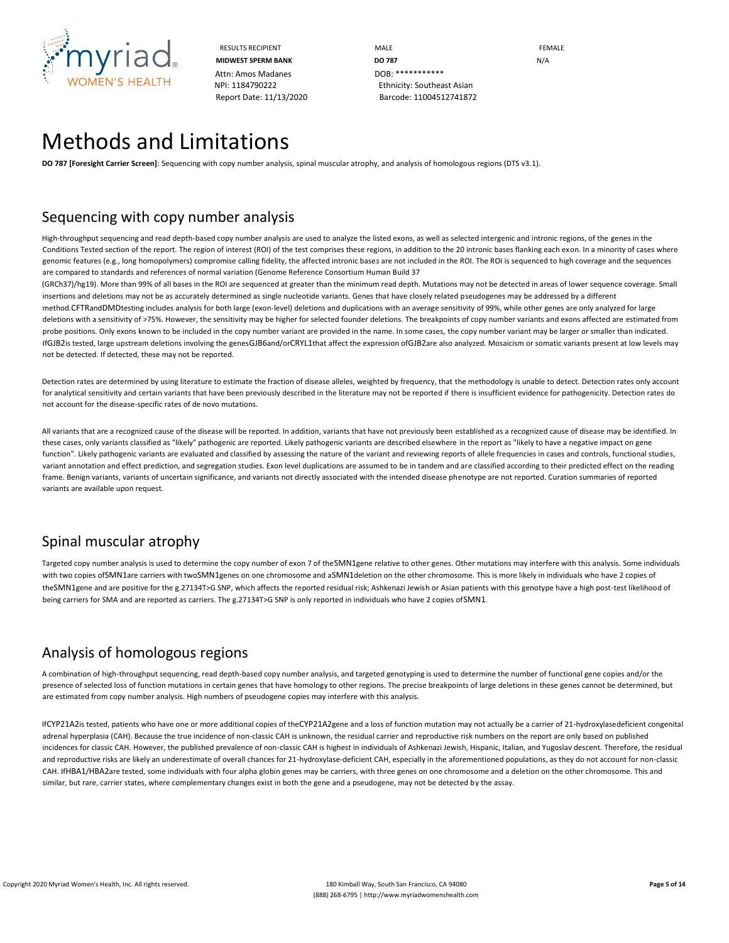

RESULTS RECIPIENT **MALE MALE EXAMPLE MIDWEST SPERM BANK DO 787 DO 787 N/A** NPI: 1184790222 Ethnicity: Southeast Asian Report Date: 11/13/2020 Barcode: 11004512741872

## Methods and Limitations

**DO 787 [Foresight Carrier Screen]**: Sequencing with copy number analysis, spinal muscular atrophy, and analysis of homologous regions (DTS v3.1).

### Sequencing with copy number analysis

High-throughput sequencing and read depth-based copy number analysis are used to analyze the listed exons, as well as selected intergenic and intronic regions, of the genes in the Conditions Tested section of the report. The region of interest (ROI) of the test comprises these regions, in addition to the 20 intronic bases flanking each exon. In a minority of cases where genomic features (e.g., long homopolymers) compromise calling fidelity, the affected intronic bases are not included in the ROI. The ROI is sequenced to high coverage and the sequences are compared to standards and references of normal variation (Genome Reference Consortium Human Build 37

(GRCh37)/hg19). More than 99% of all bases in the ROI are sequenced at greater than the minimum read depth. Mutations may not be detected in areas of lower sequence coverage. Small insertions and deletions may not be as accurately determined as single nucleotide variants. Genes that have closely related pseudogenes may be addressed by a different method.CFTRandDMDtesting includes analysis for both large (exon-level) deletions and duplications with an average sensitivity of 99%, while other genes are only analyzed for large deletions with a sensitivity of >75%. However, the sensitivity may be higher for selected founder deletions. The breakpoints of copy number variants and exons affected are estimated from probe positions. Only exons known to be included in the copy number variant are provided in the name. In some cases, the copy number variant may be larger or smaller than indicated. IfGJB2is tested, large upstream deletions involving the genesGJB6and/orCRYL1that affect the expression ofGJB2are also analyzed. Mosaicism or somatic variants present at low levels may not be detected. If detected, these may not be reported.

Detection rates are determined by using literature to estimate the fraction of disease alleles, weighted by frequency, that the methodology is unable to detect. Detection rates only account for analytical sensitivity and certain variants that have been previously described in the literature may not be reported if there is insufficient evidence for pathogenicity. Detection rates do not account for the disease-specific rates of de novo mutations.

All variants that are a recognized cause of the disease will be reported. In addition, variants that have not previously been established as a recognized cause of disease may be identified. In these cases, only variants classified as "likely" pathogenic are reported. Likely pathogenic variants are described elsewhere in the report as "likely to have a negative impact on gene function". Likely pathogenic variants are evaluated and classified by assessing the nature of the variant and reviewing reports of allele frequencies in cases and controls, functional studies, variant annotation and effect prediction, and segregation studies. Exon level duplications are assumed to be in tandem and are classified according to their predicted effect on the reading frame. Benign variants, variants of uncertain significance, and variants not directly associated with the intended disease phenotype are not reported. Curation summaries of reported variants are available upon request.

### Spinal muscular atrophy

Targeted copy number analysis is used to determine the copy number of exon 7 of the SMN1gene relative to other genes. Other mutations may interfere with this analysis. Some individuals with two copies ofSMN1are carriers with twoSMN1genes on one chromosome and aSMN1deletion on the other chromosome. This is more likely in individuals who have 2 copies of theSMN1gene and are positive for the g.27134T>G SNP, which affects the reported residual risk; Ashkenazi Jewish or Asian patients with this genotype have a high post-test likelihood of being carriers for SMA and are reported as carriers. The g.27134T>G SNP is only reported in individuals who have 2 copies ofSMN1.

## Analysis of homologous regions

A combination of high-throughput sequencing, read depth-based copy number analysis, and targeted genotyping is used to determine the number of functional gene copies and/or the presence of selected loss of function mutations in certain genes that have homology to other regions. The precise breakpoints of large deletions in these genes cannot be determined, but are estimated from copy number analysis. High numbers of pseudogene copies may interfere with this analysis.

IfCYP21A2is tested, patients who have one or more additional copies of theCYP21A2gene and a loss of function mutation may not actually be a carrier of 21-hydroxylasedeficient congenital adrenal hyperplasia (CAH). Because the true incidence of non-classic CAH is unknown, the residual carrier and reproductive risk numbers on the report are only based on published incidences for classic CAH. However, the published prevalence of non-classic CAH is highest in individuals of Ashkenazi Jewish, Hispanic, Italian, and Yugoslav descent. Therefore, the residual and reproductive risks are likely an underestimate of overall chances for 21-hydroxylase-deficient CAH, especially in the aforementioned populations, as they do not account for non-classic CAH. IfHBA1/HBA2are tested, some individuals with four alpha globin genes may be carriers, with three genes on one chromosome and a deletion on the other chromosome. This and similar, but rare, carrier states, where complementary changes exist in both the gene and a pseudogene, may not be detected by the assay.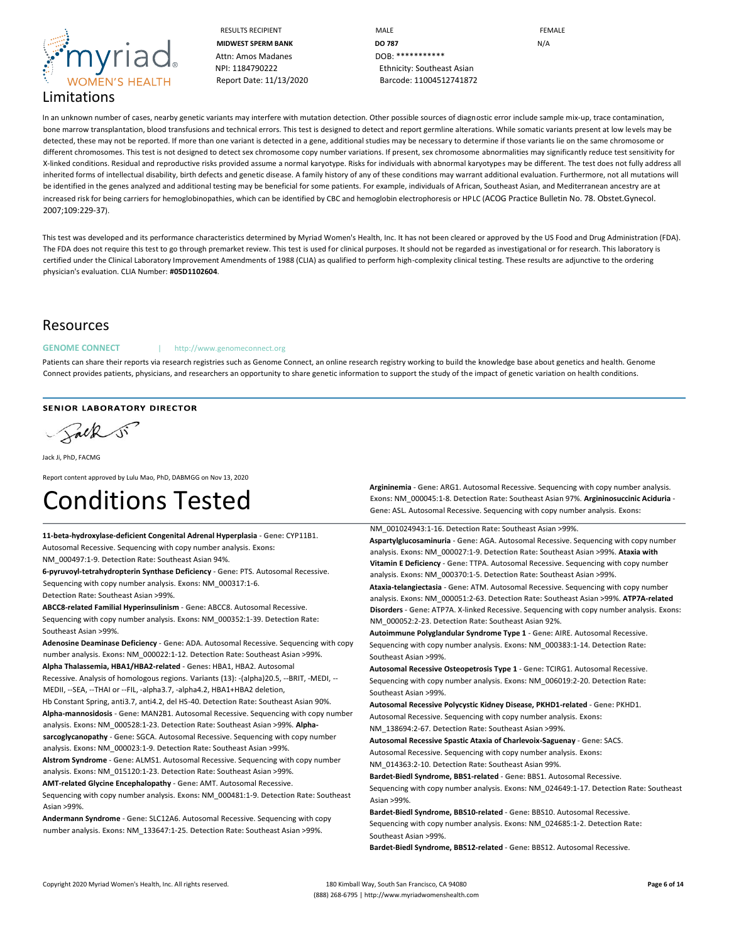

RESULTS RECIPIENT **MALE** MALE **MALE** FEMALE **MIDWEST SPERM BANK DO 787** N/A NPI: 1184790222 Ethnicity: Southeast Asian Report Date: 11/13/2020 Barcode: 11004512741872

In an unknown number of cases, nearby genetic variants may interfere with mutation detection. Other possible sources of diagnostic error include sample mix-up, trace contamination, bone marrow transplantation, blood transfusions and technical errors. This test is designed to detect and report germline alterations. While somatic variants present at low levels may be detected, these may not be reported. If more than one variant is detected in a gene, additional studies may be necessary to determine if those variants lie on the same chromosome or different chromosomes. This test is not designed to detect sex chromosome copy number variations. If present, sex chromosome abnormalities may significantly reduce test sensitivity for X-linked conditions. Residual and reproductive risks provided assume a normal karyotype. Risks for individuals with abnormal karyotypes may be different. The test does not fully address all inherited forms of intellectual disability, birth defects and genetic disease. A family history of any of these conditions may warrant additional evaluation. Furthermore, not all mutations will be identified in the genes analyzed and additional testing may be beneficial for some patients. For example, individuals of African, Southeast Asian, and Mediterranean ancestry are at increased risk for being carriers for hemoglobinopathies, which can be identified by CBC and hemoglobin electrophoresis or HPLC (ACOG Practice Bulletin No. 78. Obstet.Gynecol. 2007;109:229-37).

This test was developed and its performance characteristics determined by Myriad Women's Health, Inc. It has not been cleared or approved by the US Food and Drug Administration (FDA). The FDA does not require this test to go through premarket review. This test is used for clinical purposes. It should not be regarded as investigational or for research. This laboratory is certified under the Clinical Laboratory Improvement Amendments of 1988 (CLIA) as qualified to perform high-complexity clinical testing. These results are adjunctive to the ordering physician's evaluation. CLIA Number: **#05D1102604**.

#### Resources

#### GENOME CONNECT | http://www.genomeconnect.org

Patients can share their reports via research registries such as Genome Connect, an online research registry working to build the knowledge base about genetics and health. Genome Connect provides patients, physicians, and researchers an opportunity to share genetic information to support the study of the impact of genetic variation on health conditions.

SENIOR LABORATORY DIRECTOR

Salk si

Jack Ji, PhD, FACMG

Report content approved by Lulu Mao, PhD, DABMGG on Nov 13, 2020

# Conditions Tested

**11-beta-hydroxylase-deficient Congenital Adrenal Hyperplasia** - **Gene:** CYP11B1. Autosomal Recessive. Sequencing with copy number analysis. **Exons:** NM\_000497:1-9. **Detection Rate:** Southeast Asian 94%. **6-pyruvoyl-tetrahydropterin Synthase Deficiency** - **Gene:** PTS. Autosomal Recessive.

Sequencing with copy number analysis. **Exons:** NM\_000317:1-6.

**Detection Rate:** Southeast Asian >99%.

**ABCC8-related Familial Hyperinsulinism** - **Gene:** ABCC8. Autosomal Recessive. Sequencing with copy number analysis. **Exons:** NM\_000352:1-39. **Detection Rate:** Southeast Asian >99%.

**Adenosine Deaminase Deficiency** - **Gene:** ADA. Autosomal Recessive. Sequencing with copy number analysis. **Exons:** NM\_000022:1-12. **Detection Rate:** Southeast Asian >99%. **Alpha Thalassemia, HBA1/HBA2-related** - **Genes:** HBA1, HBA2. Autosomal

Recessive. Analysis of homologous regions. **Variants (13):** -(alpha)20.5, --BRIT, -MEDI, -- MEDII, --SEA, --THAI or --FIL, -alpha3.7, -alpha4.2, HBA1+HBA2 deletion,

Hb Constant Spring, anti3.7, anti4.2, del HS-40. **Detection Rate:** Southeast Asian 90%. **Alpha-mannosidosis** - **Gene:** MAN2B1. Autosomal Recessive. Sequencing with copy number analysis. **Exons:** NM\_000528:1-23. **Detection Rate:** Southeast Asian >99%. **Alphasarcoglycanopathy** - **Gene:** SGCA. Autosomal Recessive. Sequencing with copy number

analysis. **Exons:** NM\_000023:1-9. **Detection Rate:** Southeast Asian >99%. **Alstrom Syndrome** - **Gene:** ALMS1. Autosomal Recessive. Sequencing with copy number analysis. **Exons:** NM\_015120:1-23. **Detection Rate:** Southeast Asian >99%.

**AMT-related Glycine Encephalopathy** - **Gene:** AMT. Autosomal Recessive.

Sequencing with copy number analysis. **Exons:** NM\_000481:1-9. **Detection Rate:** Southeast Asian >99%.

**Andermann Syndrome** - **Gene:** SLC12A6. Autosomal Recessive. Sequencing with copy number analysis. **Exons:** NM\_133647:1-25. **Detection Rate:** Southeast Asian >99%.

**Argininemia** - **Gene:** ARG1. Autosomal Recessive. Sequencing with copy number analysis. **Exons:** NM\_000045:1-8. **Detection Rate:** Southeast Asian 97%. **Argininosuccinic Aciduria** - **Gene:** ASL. Autosomal Recessive. Sequencing with copy number analysis. **Exons:** 

NM\_001024943:1-16. **Detection Rate:** Southeast Asian >99%.

**Aspartylglucosaminuria** - **Gene:** AGA. Autosomal Recessive. Sequencing with copy number analysis. **Exons:** NM\_000027:1-9. **Detection Rate:** Southeast Asian >99%. **Ataxia with Vitamin E Deficiency** - **Gene:** TTPA. Autosomal Recessive. Sequencing with copy number analysis. **Exons:** NM\_000370:1-5. **Detection Rate:** Southeast Asian >99%.

**Ataxia-telangiectasia** - **Gene:** ATM. Autosomal Recessive. Sequencing with copy number analysis. **Exons:** NM\_000051:2-63. **Detection Rate:** Southeast Asian >99%. **ATP7A-related Disorders** - **Gene:** ATP7A. X-linked Recessive. Sequencing with copy number analysis. **Exons:**  NM\_000052:2-23. **Detection Rate:** Southeast Asian 92%.

**Autoimmune Polyglandular Syndrome Type 1** - **Gene:** AIRE. Autosomal Recessive. Sequencing with copy number analysis. **Exons:** NM\_000383:1-14. **Detection Rate:** Southeast Asian >99%.

**Autosomal Recessive Osteopetrosis Type 1** - **Gene:** TCIRG1. Autosomal Recessive. Sequencing with copy number analysis. **Exons:** NM\_006019:2-20. **Detection Rate:** Southeast Asian >99%.

**Autosomal Recessive Polycystic Kidney Disease, PKHD1-related** - **Gene:** PKHD1. Autosomal Recessive. Sequencing with copy number analysis. **Exons:**

NM\_138694:2-67. **Detection Rate:** Southeast Asian >99%.

**Autosomal Recessive Spastic Ataxia of Charlevoix-Saguenay** - **Gene:** SACS. Autosomal Recessive. Sequencing with copy number analysis. **Exons:** NM\_014363:2-10. **Detection Rate:** Southeast Asian 99%.

**Bardet-Biedl Syndrome, BBS1-related** - **Gene:** BBS1. Autosomal Recessive. Sequencing with copy number analysis. **Exons:** NM\_024649:1-17. **Detection Rate:** Southeast Asian >99%.

**Bardet-Biedl Syndrome, BBS10-related** - **Gene:** BBS10. Autosomal Recessive. Sequencing with copy number analysis. **Exons:** NM\_024685:1-2. **Detection Rate:** Southeast Asian >99%.

**Bardet-Biedl Syndrome, BBS12-related** - **Gene:** BBS12. Autosomal Recessive.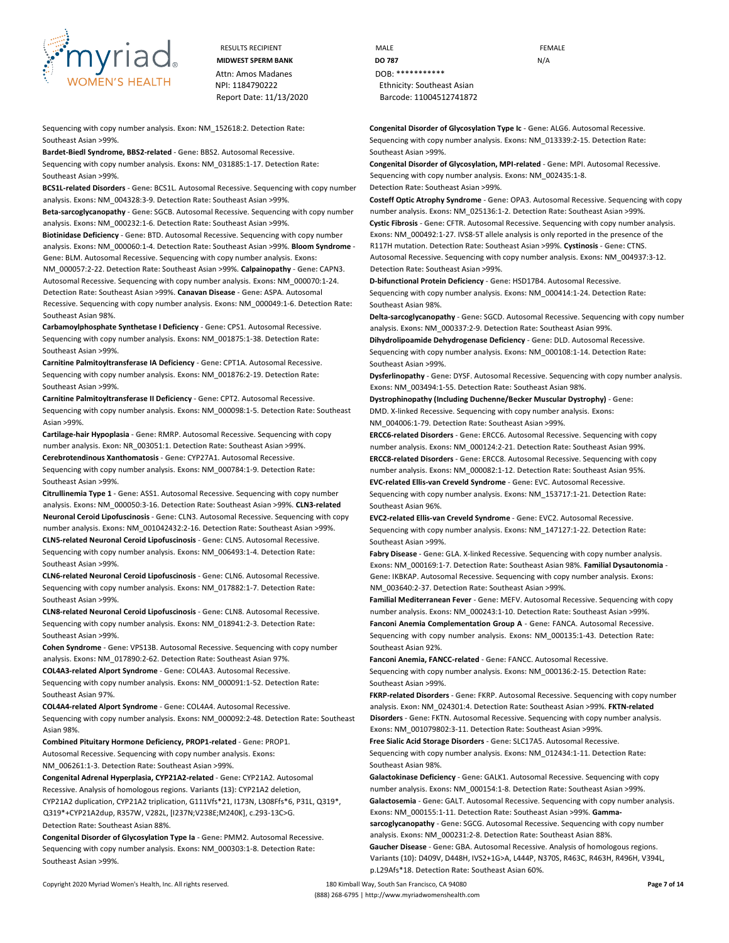

Sequencing with copy number analysis. **Exon:** NM\_152618:2. **Detection Rate:** Southeast Asian >99%.

**Bardet-Biedl Syndrome, BBS2-related** - **Gene:** BBS2. Autosomal Recessive. Sequencing with copy number analysis. **Exons:** NM\_031885:1-17. **Detection Rate:** Southeast Asian >99%.

**BCS1L-related Disorders** - **Gene:** BCS1L. Autosomal Recessive. Sequencing with copy number analysis. **Exons:** NM\_004328:3-9. **Detection Rate:** Southeast Asian >99%.

**Beta-sarcoglycanopathy** - **Gene:** SGCB. Autosomal Recessive. Sequencing with copy number analysis. **Exons:** NM\_000232:1-6. **Detection Rate:** Southeast Asian >99%.

**Biotinidase Deficiency** - **Gene:** BTD. Autosomal Recessive. Sequencing with copy number analysis. **Exons:** NM\_000060:1-4. **Detection Rate:** Southeast Asian >99%. **Bloom Syndrome** - **Gene:** BLM. Autosomal Recessive. Sequencing with copy number analysis. **Exons:**  NM\_000057:2-22. **Detection Rate:** Southeast Asian >99%. **Calpainopathy** - **Gene:** CAPN3. Autosomal Recessive. Sequencing with copy number analysis. **Exons:** NM\_000070:1-24. **Detection Rate:** Southeast Asian >99%. **Canavan Disease** - **Gene:** ASPA. Autosomal Recessive. Sequencing with copy number analysis. **Exons:** NM\_000049:1-6. **Detection Rate:**  Southeast Asian 98%.

**Carbamoylphosphate Synthetase I Deficiency** - **Gene:** CPS1. Autosomal Recessive. Sequencing with copy number analysis. **Exons:** NM\_001875:1-38. **Detection Rate:** Southeast Asian >99%.

**Carnitine Palmitoyltransferase IA Deficiency** - **Gene:** CPT1A. Autosomal Recessive. Sequencing with copy number analysis. **Exons:** NM\_001876:2-19. **Detection Rate:** Southeast Asian >99%.

**Carnitine Palmitoyltransferase II Deficiency** - **Gene:** CPT2. Autosomal Recessive. Sequencing with copy number analysis. **Exons:** NM\_000098:1-5. **Detection Rate:** Southeast Asian >99%.

**Cartilage-hair Hypoplasia** - **Gene:** RMRP. Autosomal Recessive. Sequencing with copy number analysis. **Exon:** NR\_003051:1. **Detection Rate:** Southeast Asian >99%.

**Cerebrotendinous Xanthomatosis** - **Gene:** CYP27A1. Autosomal Recessive. Sequencing with copy number analysis. **Exons:** NM\_000784:1-9. **Detection Rate:** Southeast Asian >99%.

**Citrullinemia Type 1** - **Gene:** ASS1. Autosomal Recessive. Sequencing with copy number analysis. **Exons:** NM\_000050:3-16. **Detection Rate:** Southeast Asian >99%. **CLN3-related Neuronal Ceroid Lipofuscinosis** - **Gene:** CLN3. Autosomal Recessive. Sequencing with copy number analysis. **Exons:** NM\_001042432:2-16. **Detection Rate:** Southeast Asian >99%. **CLN5-related Neuronal Ceroid Lipofuscinosis** - **Gene:** CLN5. Autosomal Recessive. Sequencing with copy number analysis. **Exons:** NM\_006493:1-4. **Detection Rate:**

**CLN6-related Neuronal Ceroid Lipofuscinosis** - **Gene:** CLN6. Autosomal Recessive. Sequencing with copy number analysis. **Exons:** NM\_017882:1-7. **Detection Rate:** Southeast Asian >99%.

**CLN8-related Neuronal Ceroid Lipofuscinosis** - **Gene:** CLN8. Autosomal Recessive. Sequencing with copy number analysis. **Exons:** NM\_018941:2-3. **Detection Rate:** Southeast Asian >99%.

**Cohen Syndrome** - **Gene:** VPS13B. Autosomal Recessive. Sequencing with copy number analysis. **Exons:** NM\_017890:2-62. **Detection Rate:** Southeast Asian 97%.

**COL4A3-related Alport Syndrome** - **Gene:** COL4A3. Autosomal Recessive. Sequencing with copy number analysis. **Exons:** NM\_000091:1-52. **Detection Rate:** Southeast Asian 97%.

**COL4A4-related Alport Syndrome** - **Gene:** COL4A4. Autosomal Recessive.

Sequencing with copy number analysis. **Exons:** NM\_000092:2-48. **Detection Rate:** Southeast Asian 98%.

**Combined Pituitary Hormone Deficiency, PROP1-related** - **Gene:** PROP1. Autosomal Recessive. Sequencing with copy number analysis. **Exons:**

NM\_006261:1-3. **Detection Rate:** Southeast Asian >99%.

Southeast Asian >99%.

**Congenital Adrenal Hyperplasia, CYP21A2-related** - **Gene:** CYP21A2. Autosomal Recessive. Analysis of homologous regions. **Variants (13):** CYP21A2 deletion, CYP21A2 duplication, CYP21A2 triplication, G111Vfs\*21, I173N, L308Ffs\*6, P31L, Q319\*, Q319\*+CYP21A2dup, R357W, V282L, [I237N;V238E;M240K], c.293-13C>G. **Detection Rate:** Southeast Asian 88%.

**Congenital Disorder of Glycosylation Type Ia** - **Gene:** PMM2. Autosomal Recessive. Sequencing with copy number analysis. **Exons:** NM\_000303:1-8. **Detection Rate:** Southeast Asian >99%.

RESULTS RECIPIENT **MALE MALE EXAMPLE MIDWEST SPERM BANK DO 787** N/A NPI: 1184790222 Ethnicity: Southeast Asian Report Date: 11/13/2020 Barcode: 11004512741872

> **Congenital Disorder of Glycosylation Type Ic** - **Gene:** ALG6. Autosomal Recessive. Sequencing with copy number analysis. **Exons:** NM\_013339:2-15. **Detection Rate:** Southeast Asian >99%.

**Congenital Disorder of Glycosylation, MPI-related** - **Gene:** MPI. Autosomal Recessive. Sequencing with copy number analysis. **Exons:** NM\_002435:1-8. **Detection Rate:** Southeast Asian >99%.

**Costeff Optic Atrophy Syndrome** - **Gene:** OPA3. Autosomal Recessive. Sequencing with copy number analysis. **Exons:** NM\_025136:1-2. **Detection Rate:** Southeast Asian >99%. **Cystic Fibrosis** - **Gene:** CFTR. Autosomal Recessive. Sequencing with copy number analysis. **Exons:** NM\_000492:1-27. IVS8-5T allele analysis is only reported in the presence of the R117H mutation. **Detection Rate:** Southeast Asian >99%. **Cystinosis** - **Gene:** CTNS. Autosomal Recessive. Sequencing with copy number analysis. **Exons:** NM\_004937:3-12. **Detection Rate:** Southeast Asian >99%.

**D-bifunctional Protein Deficiency** - **Gene:** HSD17B4. Autosomal Recessive. Sequencing with copy number analysis. **Exons:** NM\_000414:1-24. **Detection Rate:** Southeast Asian 98%.

**Delta-sarcoglycanopathy** - **Gene:** SGCD. Autosomal Recessive. Sequencing with copy number analysis. **Exons:** NM\_000337:2-9. **Detection Rate:** Southeast Asian 99%.

**Dihydrolipoamide Dehydrogenase Deficiency** - **Gene:** DLD. Autosomal Recessive. Sequencing with copy number analysis. **Exons:** NM\_000108:1-14. **Detection Rate:** Southeast Asian >99%.

**Dysferlinopathy** - **Gene:** DYSF. Autosomal Recessive. Sequencing with copy number analysis. **Exons:** NM\_003494:1-55. **Detection Rate:** Southeast Asian 98%.

**Dystrophinopathy (Including Duchenne/Becker Muscular Dystrophy)** - **Gene:** DMD. X-linked Recessive. Sequencing with copy number analysis. **Exons:** NM\_004006:1-79. **Detection Rate:** Southeast Asian >99%.

**ERCC6-related Disorders** - **Gene:** ERCC6. Autosomal Recessive. Sequencing with copy number analysis. **Exons:** NM\_000124:2-21. **Detection Rate:** Southeast Asian 99%.

**ERCC8-related Disorders** - **Gene:** ERCC8. Autosomal Recessive. Sequencing with copy number analysis. **Exons:** NM\_000082:1-12. **Detection Rate:** Southeast Asian 95%. **EVC-related Ellis-van Creveld Syndrome** - **Gene:** EVC. Autosomal Recessive.

Sequencing with copy number analysis. **Exons:** NM\_153717:1-21. **Detection Rate:** Southeast Asian 96%.

**EVC2-related Ellis-van Creveld Syndrome** - **Gene:** EVC2. Autosomal Recessive. Sequencing with copy number analysis. **Exons:** NM\_147127:1-22. **Detection Rate:** Southeast Asian >99%.

**Fabry Disease** - **Gene:** GLA. X-linked Recessive. Sequencing with copy number analysis. **Exons:** NM\_000169:1-7. **Detection Rate:** Southeast Asian 98%. **Familial Dysautonomia** - **Gene:** IKBKAP. Autosomal Recessive. Sequencing with copy number analysis. **Exons:**  NM\_003640:2-37. **Detection Rate:** Southeast Asian >99%.

**Familial Mediterranean Fever** - **Gene:** MEFV. Autosomal Recessive. Sequencing with copy number analysis. **Exons:** NM\_000243:1-10. **Detection Rate:** Southeast Asian >99%. **Fanconi Anemia Complementation Group A** - **Gene:** FANCA. Autosomal Recessive. Sequencing with copy number analysis. **Exons:** NM\_000135:1-43. **Detection Rate:**  Southeast Asian 92%.

**Fanconi Anemia, FANCC-related** - **Gene:** FANCC. Autosomal Recessive. Sequencing with copy number analysis. **Exons:** NM\_000136:2-15. **Detection Rate:** Southeast Asian >99%.

**FKRP-related Disorders** - **Gene:** FKRP. Autosomal Recessive. Sequencing with copy number analysis. **Exon:** NM\_024301:4. **Detection Rate:** Southeast Asian >99%. **FKTN-related Disorders** - **Gene:** FKTN. Autosomal Recessive. Sequencing with copy number analysis. **Exons:** NM\_001079802:3-11. **Detection Rate:** Southeast Asian >99%.

**Free Sialic Acid Storage Disorders** - **Gene:** SLC17A5. Autosomal Recessive. Sequencing with copy number analysis. **Exons:** NM\_012434:1-11. **Detection Rate:**

Southeast Asian 98%. **Galactokinase Deficiency** - **Gene:** GALK1. Autosomal Recessive. Sequencing with copy number analysis. **Exons:** NM\_000154:1-8. **Detection Rate:** Southeast Asian >99%. **Galactosemia** - **Gene:** GALT. Autosomal Recessive. Sequencing with copy number analysis. **Exons:** NM\_000155:1-11. **Detection Rate:** Southeast Asian >99%. **Gamma-**

**sarcoglycanopathy** - **Gene:** SGCG. Autosomal Recessive. Sequencing with copy number analysis. **Exons:** NM\_000231:2-8. **Detection Rate:** Southeast Asian 88%.

**Gaucher Disease** - **Gene:** GBA. Autosomal Recessive. Analysis of homologous regions. **Variants (10):** D409V, D448H, IVS2+1G>A, L444P, N370S, R463C, R463H, R496H, V394L, p.L29Afs\*18. **Detection Rate:** Southeast Asian 60%.

Copyright 2020 Myriad Women's Health, Inc. All rights reserved. 180 Kimball Way, South San Francisco, CA 94080 **Page 7 of 14** (888) 268-6795 | http://www.myriadwomenshealth.com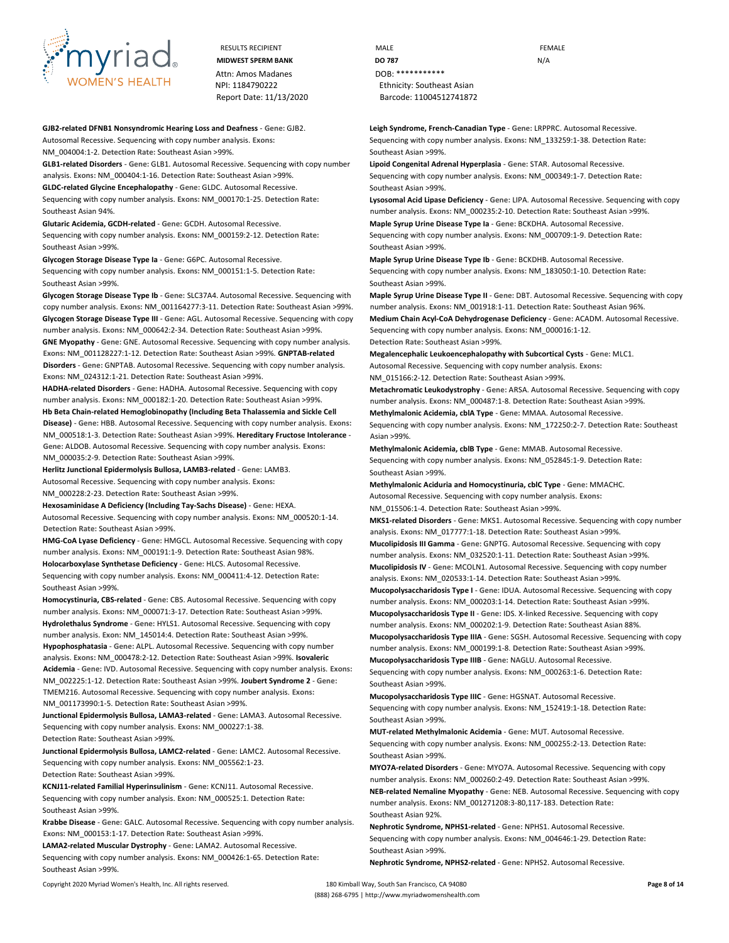

Attn: Amos Madanes **DOB:** \*\*\*\*\*\*\*\*\*\*\*\* Report Date: 11/13/2020 Barcode: 11004512741872

**GJB2-related DFNB1 Nonsyndromic Hearing Loss and Deafness** - **Gene:** GJB2. Autosomal Recessive. Sequencing with copy number analysis. **Exons:**

NM\_004004:1-2. **Detection Rate:** Southeast Asian >99%.

**GLB1-related Disorders** - **Gene:** GLB1. Autosomal Recessive. Sequencing with copy number analysis. **Exons:** NM\_000404:1-16. **Detection Rate:** Southeast Asian >99%.

**GLDC-related Glycine Encephalopathy** - **Gene:** GLDC. Autosomal Recessive.

Sequencing with copy number analysis. **Exons:** NM\_000170:1-25. **Detection Rate:** Southeast Asian 94%.

**Glutaric Acidemia, GCDH-related** - **Gene:** GCDH. Autosomal Recessive.

Sequencing with copy number analysis. **Exons:** NM\_000159:2-12. **Detection Rate:** Southeast Asian >99%.

**Glycogen Storage Disease Type Ia** - **Gene:** G6PC. Autosomal Recessive. Sequencing with copy number analysis. **Exons:** NM\_000151:1-5. **Detection Rate:** Southeast Asian >99%.

**Glycogen Storage Disease Type Ib** - **Gene:** SLC37A4. Autosomal Recessive. Sequencing with copy number analysis. **Exons:** NM\_001164277:3-11. **Detection Rate:** Southeast Asian >99%. **Glycogen Storage Disease Type III** - **Gene:** AGL. Autosomal Recessive. Sequencing with copy number analysis. **Exons:** NM\_000642:2-34. **Detection Rate:** Southeast Asian >99%. **GNE Myopathy** - **Gene:** GNE. Autosomal Recessive. Sequencing with copy number analysis. **Exons:** NM\_001128227:1-12. **Detection Rate:** Southeast Asian >99%. **GNPTAB-related Disorders** - **Gene:** GNPTAB. Autosomal Recessive. Sequencing with copy number analysis. **Exons:** NM\_024312:1-21. **Detection Rate:** Southeast Asian >99%.

**HADHA-related Disorders** - **Gene:** HADHA. Autosomal Recessive. Sequencing with copy number analysis. **Exons:** NM\_000182:1-20. **Detection Rate:** Southeast Asian >99%. **Hb Beta Chain-related Hemoglobinopathy (Including Beta Thalassemia and Sickle Cell Disease)** - **Gene:** HBB. Autosomal Recessive. Sequencing with copy number analysis. **Exons:**  NM\_000518:1-3. **Detection Rate:** Southeast Asian >99%. **Hereditary Fructose Intolerance** - **Gene:** ALDOB. Autosomal Recessive. Sequencing with copy number analysis. **Exons:**  NM\_000035:2-9. **Detection Rate:** Southeast Asian >99%.

**Herlitz Junctional Epidermolysis Bullosa, LAMB3-related** - **Gene:** LAMB3. Autosomal Recessive. Sequencing with copy number analysis. **Exons:**

NM\_000228:2-23. **Detection Rate:** Southeast Asian >99%.

**Hexosaminidase A Deficiency (Including Tay-Sachs Disease)** - **Gene:** HEXA. Autosomal Recessive. Sequencing with copy number analysis. **Exons:** NM\_000520:1-14. **Detection Rate:** Southeast Asian >99%.

**HMG-CoA Lyase Deficiency** - **Gene:** HMGCL. Autosomal Recessive. Sequencing with copy number analysis. **Exons:** NM\_000191:1-9. **Detection Rate:** Southeast Asian 98%. **Holocarboxylase Synthetase Deficiency** - **Gene:** HLCS. Autosomal Recessive. Sequencing with copy number analysis. **Exons:** NM\_000411:4-12. **Detection Rate:** Southeast Asian >99%.

**Homocystinuria, CBS-related** - **Gene:** CBS. Autosomal Recessive. Sequencing with copy number analysis. **Exons:** NM\_000071:3-17. **Detection Rate:** Southeast Asian >99%. **Hydrolethalus Syndrome** - **Gene:** HYLS1. Autosomal Recessive. Sequencing with copy number analysis. **Exon:** NM\_145014:4. **Detection Rate:** Southeast Asian >99%. **Hypophosphatasia** - **Gene:** ALPL. Autosomal Recessive. Sequencing with copy number analysis. **Exons:** NM\_000478:2-12. **Detection Rate:** Southeast Asian >99%. **Isovaleric Acidemia** - **Gene:** IVD. Autosomal Recessive. Sequencing with copy number analysis. **Exons:**  NM\_002225:1-12. **Detection Rate:** Southeast Asian >99%. **Joubert Syndrome 2** - **Gene:** 

TMEM216. Autosomal Recessive. Sequencing with copy number analysis. **Exons:**  NM\_001173990:1-5. **Detection Rate:** Southeast Asian >99%.

**Junctional Epidermolysis Bullosa, LAMA3-related** - **Gene:** LAMA3. Autosomal Recessive. Sequencing with copy number analysis. **Exons:** NM\_000227:1-38.

**Detection Rate:** Southeast Asian >99%.

**Junctional Epidermolysis Bullosa, LAMC2-related** - **Gene:** LAMC2. Autosomal Recessive. Sequencing with copy number analysis. **Exons:** NM\_005562:1-23. **Detection Rate:** Southeast Asian >99%.

**KCNJ11-related Familial Hyperinsulinism** - **Gene:** KCNJ11. Autosomal Recessive. Sequencing with copy number analysis. **Exon:** NM\_000525:1. **Detection Rate:** Southeast Asian >99%.

**Krabbe Disease** - **Gene:** GALC. Autosomal Recessive. Sequencing with copy number analysis. **Exons:** NM\_000153:1-17. **Detection Rate:** Southeast Asian >99%.

**LAMA2-related Muscular Dystrophy** - **Gene:** LAMA2. Autosomal Recessive. Sequencing with copy number analysis. **Exons:** NM\_000426:1-65. **Detection Rate:** Southeast Asian >99%.

Copyright 2020 Myriad Women's Health, Inc. All rights reserved. 180 Kimball Way, South San Francisco, CA 94080 **Page 8 of 14**

RESULTS RECIPIENT **MALE MALE EXAMPLE MIDWEST SPERM BANK DO 787 DO 787** N/A NPI: 1184790222 Ethnicity: Southeast Asian

> **Leigh Syndrome, French-Canadian Type** - **Gene:** LRPPRC. Autosomal Recessive. Sequencing with copy number analysis. **Exons:** NM\_133259:1-38. **Detection Rate:** Southeast Asian >99%.

**Lipoid Congenital Adrenal Hyperplasia** - **Gene:** STAR. Autosomal Recessive. Sequencing with copy number analysis. **Exons:** NM\_000349:1-7. **Detection Rate:** Southeast Asian >99%.

**Lysosomal Acid Lipase Deficiency** - **Gene:** LIPA. Autosomal Recessive. Sequencing with copy number analysis. **Exons:** NM\_000235:2-10. **Detection Rate:** Southeast Asian >99%.

**Maple Syrup Urine Disease Type Ia** - **Gene:** BCKDHA. Autosomal Recessive. Sequencing with copy number analysis. **Exons:** NM\_000709:1-9. **Detection Rate:** Southeast Asian >99%.

**Maple Syrup Urine Disease Type Ib** - **Gene:** BCKDHB. Autosomal Recessive. Sequencing with copy number analysis. **Exons:** NM\_183050:1-10. **Detection Rate:** Southeast Asian >99%.

**Maple Syrup Urine Disease Type II** - **Gene:** DBT. Autosomal Recessive. Sequencing with copy number analysis. **Exons:** NM\_001918:1-11. **Detection Rate:** Southeast Asian 96%. **Medium Chain Acyl-CoA Dehydrogenase Deficiency** - **Gene:** ACADM. Autosomal Recessive. Sequencing with copy number analysis. **Exons:** NM\_000016:1-12. **Detection Rate:** Southeast Asian >99%.

**Megalencephalic Leukoencephalopathy with Subcortical Cysts** - **Gene:** MLC1. Autosomal Recessive. Sequencing with copy number analysis. **Exons:** NM\_015166:2-12. **Detection Rate:** Southeast Asian >99%.

**Metachromatic Leukodystrophy** - **Gene:** ARSA. Autosomal Recessive. Sequencing with copy number analysis. **Exons:** NM\_000487:1-8. **Detection Rate:** Southeast Asian >99%. **Methylmalonic Acidemia, cblA Type** - **Gene:** MMAA. Autosomal Recessive.

Sequencing with copy number analysis. **Exons:** NM\_172250:2-7. **Detection Rate:** Southeast Asian >99%.

**Methylmalonic Acidemia, cblB Type** - **Gene:** MMAB. Autosomal Recessive. Sequencing with copy number analysis. **Exons:** NM\_052845:1-9. **Detection Rate:** Southeast Asian >99%.

**Methylmalonic Aciduria and Homocystinuria, cblC Type** - **Gene:** MMACHC. Autosomal Recessive. Sequencing with copy number analysis. **Exons:** NM\_015506:1-4. **Detection Rate:** Southeast Asian >99%.

**MKS1-related Disorders** - **Gene:** MKS1. Autosomal Recessive. Sequencing with copy number analysis. **Exons:** NM\_017777:1-18. **Detection Rate:** Southeast Asian >99%. **Mucolipidosis III Gamma** - **Gene:** GNPTG. Autosomal Recessive. Sequencing with copy number analysis. **Exons:** NM\_032520:1-11. **Detection Rate:** Southeast Asian >99%. **Mucolipidosis IV** - **Gene:** MCOLN1. Autosomal Recessive. Sequencing with copy number analysis. **Exons:** NM\_020533:1-14. **Detection Rate:** Southeast Asian >99%. **Mucopolysaccharidosis Type I** - **Gene:** IDUA. Autosomal Recessive. Sequencing with copy number analysis. **Exons:** NM\_000203:1-14. **Detection Rate:** Southeast Asian >99%. **Mucopolysaccharidosis Type II** - **Gene:** IDS. X-linked Recessive. Sequencing with copy

number analysis. **Exons:** NM\_000202:1-9. **Detection Rate:** Southeast Asian 88%. **Mucopolysaccharidosis Type IIIA** - **Gene:** SGSH. Autosomal Recessive. Sequencing with copy number analysis. **Exons:** NM\_000199:1-8. **Detection Rate:** Southeast Asian >99%.

**Mucopolysaccharidosis Type IIIB** - **Gene:** NAGLU. Autosomal Recessive. Sequencing with copy number analysis. **Exons:** NM\_000263:1-6. **Detection Rate:** Southeast Asian >99%.

**Mucopolysaccharidosis Type IIIC** - **Gene:** HGSNAT. Autosomal Recessive. Sequencing with copy number analysis. **Exons:** NM\_152419:1-18. **Detection Rate:** Southeast Asian >99%.

**MUT-related Methylmalonic Acidemia** - **Gene:** MUT. Autosomal Recessive. Sequencing with copy number analysis. **Exons:** NM\_000255:2-13. **Detection Rate:** Southeast Asian >99%.

**MYO7A-related Disorders** - **Gene:** MYO7A. Autosomal Recessive. Sequencing with copy number analysis. **Exons:** NM\_000260:2-49. **Detection Rate:** Southeast Asian >99%. **NEB-related Nemaline Myopathy** - **Gene:** NEB. Autosomal Recessive. Sequencing with copy number analysis. **Exons:** NM\_001271208:3-80,117-183. **Detection Rate:** Southeast Asian 92%.

**Nephrotic Syndrome, NPHS1-related** - **Gene:** NPHS1. Autosomal Recessive. Sequencing with copy number analysis. **Exons:** NM\_004646:1-29. **Detection Rate:** Southeast Asian >99%.

**Nephrotic Syndrome, NPHS2-related** - **Gene:** NPHS2. Autosomal Recessive.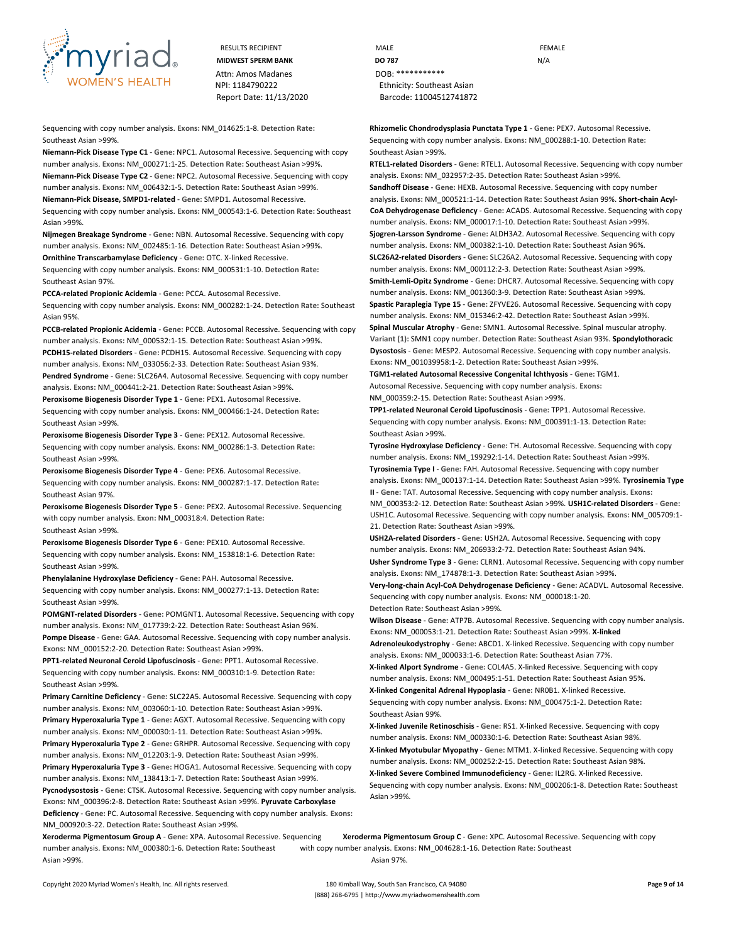

RESULTS RECIPIENT **MALE MALE EXAMPLE** Attn: Amos Madanes **DOB:** \*\*\*\*\*\*\*\*\*\*\*\*

Sequencing with copy number analysis. **Exons:** NM\_014625:1-8. **Detection Rate:** Southeast Asian >99%.

**Niemann-Pick Disease Type C1** - **Gene:** NPC1. Autosomal Recessive. Sequencing with copy number analysis. **Exons:** NM\_000271:1-25. **Detection Rate:** Southeast Asian >99%. **Niemann-Pick Disease Type C2** - **Gene:** NPC2. Autosomal Recessive. Sequencing with copy number analysis. **Exons:** NM\_006432:1-5. **Detection Rate:** Southeast Asian >99%.

**Niemann-Pick Disease, SMPD1-related** - **Gene:** SMPD1. Autosomal Recessive.

Sequencing with copy number analysis. **Exons:** NM\_000543:1-6. **Detection Rate:** Southeast Asian >99%.

**Nijmegen Breakage Syndrome** - **Gene:** NBN. Autosomal Recessive. Sequencing with copy number analysis. **Exons:** NM\_002485:1-16. **Detection Rate:** Southeast Asian >99%. **Ornithine Transcarbamylase Deficiency** - **Gene:** OTC. X-linked Recessive. Sequencing with copy number analysis. **Exons:** NM\_000531:1-10. **Detection Rate:** Southeast Asian 97%.

**PCCA-related Propionic Acidemia** - **Gene:** PCCA. Autosomal Recessive.

Sequencing with copy number analysis. **Exons:** NM\_000282:1-24. **Detection Rate:** Southeast Asian 95%.

**PCCB-related Propionic Acidemia** - **Gene:** PCCB. Autosomal Recessive. Sequencing with copy number analysis. **Exons:** NM\_000532:1-15. **Detection Rate:** Southeast Asian >99%. **PCDH15-related Disorders** - **Gene:** PCDH15. Autosomal Recessive. Sequencing with copy number analysis. **Exons:** NM\_033056:2-33. **Detection Rate:** Southeast Asian 93%. **Pendred Syndrome** - **Gene:** SLC26A4. Autosomal Recessive. Sequencing with copy number analysis. **Exons:** NM\_000441:2-21. **Detection Rate:** Southeast Asian >99%. **Peroxisome Biogenesis Disorder Type 1** - **Gene:** PEX1. Autosomal Recessive. Sequencing with copy number analysis. **Exons:** NM\_000466:1-24. **Detection Rate:** Southeast Asian >99%.

**Peroxisome Biogenesis Disorder Type 3** - **Gene:** PEX12. Autosomal Recessive. Sequencing with copy number analysis. **Exons:** NM\_000286:1-3. **Detection Rate:** Southeast Asian >99%.

**Peroxisome Biogenesis Disorder Type 4** - **Gene:** PEX6. Autosomal Recessive. Sequencing with copy number analysis. **Exons:** NM\_000287:1-17. **Detection Rate:** Southeast Asian 97%.

**Peroxisome Biogenesis Disorder Type 5** - **Gene:** PEX2. Autosomal Recessive. Sequencing with copy number analysis. **Exon:** NM\_000318:4. **Detection Rate:** Southeast Asian >99%.

**Peroxisome Biogenesis Disorder Type 6** - **Gene:** PEX10. Autosomal Recessive. Sequencing with copy number analysis. **Exons:** NM\_153818:1-6. **Detection Rate:** Southeast Asian >99%.

**Phenylalanine Hydroxylase Deficiency** - **Gene:** PAH. Autosomal Recessive. Sequencing with copy number analysis. **Exons:** NM\_000277:1-13. **Detection Rate:** Southeast Asian >99%.

**POMGNT-related Disorders** - **Gene:** POMGNT1. Autosomal Recessive. Sequencing with copy number analysis. **Exons:** NM\_017739:2-22. **Detection Rate:** Southeast Asian 96%. **Pompe Disease** - **Gene:** GAA. Autosomal Recessive. Sequencing with copy number analysis. **Exons:** NM\_000152:2-20. **Detection Rate:** Southeast Asian >99%.

**PPT1-related Neuronal Ceroid Lipofuscinosis** - **Gene:** PPT1. Autosomal Recessive. Sequencing with copy number analysis. **Exons:** NM\_000310:1-9. **Detection Rate:** Southeast Asian >99%.

**Primary Carnitine Deficiency** - **Gene:** SLC22A5. Autosomal Recessive. Sequencing with copy number analysis. **Exons:** NM\_003060:1-10. **Detection Rate:** Southeast Asian >99%. **Primary Hyperoxaluria Type 1** - **Gene:** AGXT. Autosomal Recessive. Sequencing with copy number analysis. **Exons:** NM\_000030:1-11. **Detection Rate:** Southeast Asian >99%.

**Primary Hyperoxaluria Type 2** - **Gene:** GRHPR. Autosomal Recessive. Sequencing with copy number analysis. **Exons:** NM\_012203:1-9. **Detection Rate:** Southeast Asian >99%.

**Primary Hyperoxaluria Type 3** - **Gene:** HOGA1. Autosomal Recessive. Sequencing with copy number analysis. **Exons:** NM\_138413:1-7. **Detection Rate:** Southeast Asian >99%. **Pycnodysostosis** - **Gene:** CTSK. Autosomal Recessive. Sequencing with copy number analysis. **Exons:** NM\_000396:2-8. **Detection Rate:** Southeast Asian >99%. **Pyruvate Carboxylase** 

**Deficiency** - **Gene:** PC. Autosomal Recessive. Sequencing with copy number analysis. **Exons:**  NM\_000920:3-22. **Detection Rate:** Southeast Asian >99%.

**MIDWEST SPERM BANK DO 787** N/A NPI: 1184790222 Ethnicity: Southeast Asian Report Date: 11/13/2020 Barcode: 11004512741872

> **Rhizomelic Chondrodysplasia Punctata Type 1** - **Gene:** PEX7. Autosomal Recessive. Sequencing with copy number analysis. **Exons:** NM\_000288:1-10. **Detection Rate:** Southeast Asian >99%.

**RTEL1-related Disorders** - **Gene:** RTEL1. Autosomal Recessive. Sequencing with copy number analysis. **Exons:** NM\_032957:2-35. **Detection Rate:** Southeast Asian >99%. **Sandhoff Disease** - **Gene:** HEXB. Autosomal Recessive. Sequencing with copy number analysis. **Exons:** NM\_000521:1-14. **Detection Rate:** Southeast Asian 99%. **Short-chain Acyl-CoA Dehydrogenase Deficiency** - **Gene:** ACADS. Autosomal Recessive. Sequencing with copy number analysis. **Exons:** NM\_000017:1-10. **Detection Rate:** Southeast Asian >99%. **Sjogren-Larsson Syndrome** - **Gene:** ALDH3A2. Autosomal Recessive. Sequencing with copy number analysis. **Exons:** NM\_000382:1-10. **Detection Rate:** Southeast Asian 96%. **SLC26A2-related Disorders** - **Gene:** SLC26A2. Autosomal Recessive. Sequencing with copy number analysis. **Exons:** NM\_000112:2-3. **Detection Rate:** Southeast Asian >99%. **Smith-Lemli-Opitz Syndrome** - **Gene:** DHCR7. Autosomal Recessive. Sequencing with copy

number analysis. **Exons:** NM\_001360:3-9. **Detection Rate:** Southeast Asian >99%. **Spastic Paraplegia Type 15** - **Gene:** ZFYVE26. Autosomal Recessive. Sequencing with copy

number analysis. **Exons:** NM\_015346:2-42. **Detection Rate:** Southeast Asian >99%. **Spinal Muscular Atrophy** - **Gene:** SMN1. Autosomal Recessive. Spinal muscular atrophy. **Variant (1):** SMN1 copy number. **Detection Rate:** Southeast Asian 93%. **Spondylothoracic Dysostosis** - **Gene:** MESP2. Autosomal Recessive. Sequencing with copy number analysis. **Exons:** NM\_001039958:1-2. **Detection Rate:** Southeast Asian >99%.

**TGM1-related Autosomal Recessive Congenital Ichthyosis** - **Gene:** TGM1. Autosomal Recessive. Sequencing with copy number analysis. **Exons:**

NM\_000359:2-15. **Detection Rate:** Southeast Asian >99%.

**TPP1-related Neuronal Ceroid Lipofuscinosis** - **Gene:** TPP1. Autosomal Recessive. Sequencing with copy number analysis. **Exons:** NM\_000391:1-13. **Detection Rate:** Southeast Asian >99%.

**Tyrosine Hydroxylase Deficiency** - **Gene:** TH. Autosomal Recessive. Sequencing with copy number analysis. **Exons:** NM\_199292:1-14. **Detection Rate:** Southeast Asian >99%. **Tyrosinemia Type I** - **Gene:** FAH. Autosomal Recessive. Sequencing with copy number analysis. **Exons:** NM\_000137:1-14. **Detection Rate:** Southeast Asian >99%. **Tyrosinemia Type II** - **Gene:** TAT. Autosomal Recessive. Sequencing with copy number analysis. **Exons:**  NM\_000353:2-12. **Detection Rate:** Southeast Asian >99%. **USH1C-related Disorders** - **Gene:** 

USH1C. Autosomal Recessive. Sequencing with copy number analysis. **Exons:** NM\_005709:1- 21. **Detection Rate:** Southeast Asian >99%.

**USH2A-related Disorders** - **Gene:** USH2A. Autosomal Recessive. Sequencing with copy number analysis. **Exons:** NM\_206933:2-72. **Detection Rate:** Southeast Asian 94%. **Usher Syndrome Type 3** - **Gene:** CLRN1. Autosomal Recessive. Sequencing with copy number analysis. **Exons:** NM\_174878:1-3. **Detection Rate:** Southeast Asian >99%.

**Very-long-chain Acyl-CoA Dehydrogenase Deficiency** - **Gene:** ACADVL. Autosomal Recessive. Sequencing with copy number analysis. **Exons:** NM\_000018:1-20.

**Detection Rate:** Southeast Asian >99%.

**Wilson Disease** - **Gene:** ATP7B. Autosomal Recessive. Sequencing with copy number analysis. **Exons:** NM\_000053:1-21. **Detection Rate:** Southeast Asian >99%. **X-linked** 

**Adrenoleukodystrophy** - **Gene:** ABCD1. X-linked Recessive. Sequencing with copy number analysis. **Exons:** NM\_000033:1-6. **Detection Rate:** Southeast Asian 77%.

**X-linked Alport Syndrome** - **Gene:** COL4A5. X-linked Recessive. Sequencing with copy number analysis. **Exons:** NM\_000495:1-51. **Detection Rate:** Southeast Asian 95%. **X-linked Congenital Adrenal Hypoplasia** - **Gene:** NR0B1. X-linked Recessive.

Sequencing with copy number analysis. **Exons:** NM\_000475:1-2. **Detection Rate:** Southeast Asian 99%.

**X-linked Juvenile Retinoschisis** - **Gene:** RS1. X-linked Recessive. Sequencing with copy number analysis. **Exons:** NM\_000330:1-6. **Detection Rate:** Southeast Asian 98%. **X-linked Myotubular Myopathy** - **Gene:** MTM1. X-linked Recessive. Sequencing with copy number analysis. **Exons:** NM\_000252:2-15. **Detection Rate:** Southeast Asian 98%. **X-linked Severe Combined Immunodeficiency** - **Gene:** IL2RG. X-linked Recessive. Sequencing with copy number analysis. **Exons:** NM\_000206:1-8. **Detection Rate:** Southeast Asian >99%.

number analysis. **Exons:** NM\_000380:1-6. **Detection Rate:** Southeast with copy number analysis. **Exons:** NM\_004628:1-16. **Detection Rate:** Southeast Asian >99%. Asian 97%.

**Xeroderma Pigmentosum Group A** - **Gene:** XPA. Autosomal Recessive. Sequencing **Xeroderma Pigmentosum Group C** - **Gene:** XPC. Autosomal Recessive. Sequencing with copy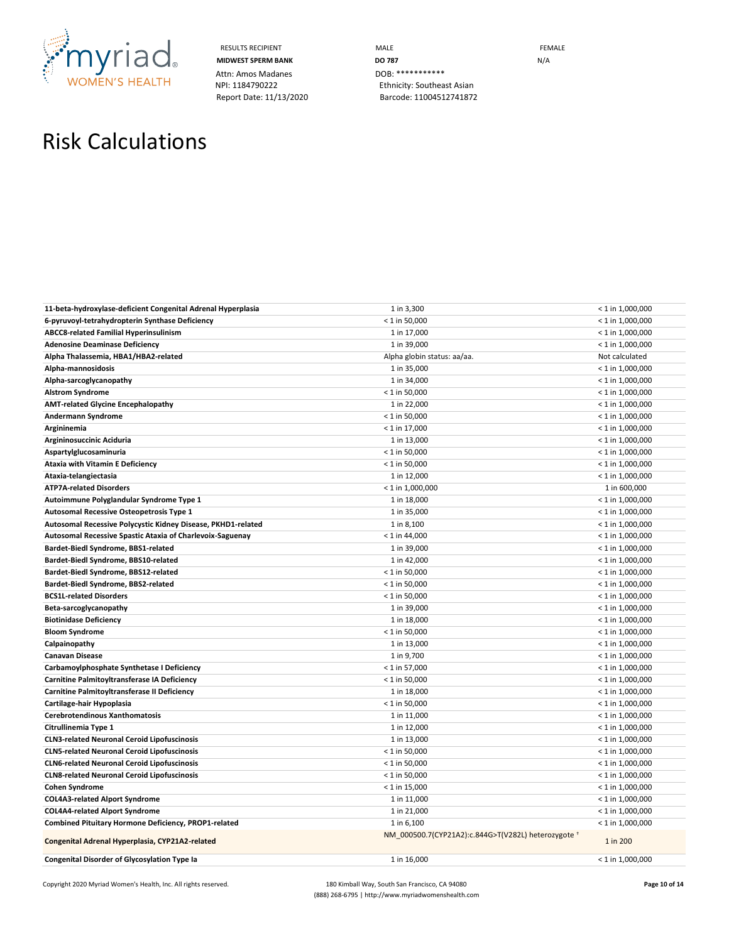

Attn: Amos Madanes<br>
NPI: 1184790222<br>
Ethnicity: Southea

RESULTS RECIPIENT **MALE MALE MIDWEST SPERM BANK DO 787 DO 787 N**/A Ethnicity: Southeast Asian Report Date: 11/13/2020 Barcode: 11004512741872

## Risk Calculations

| 11-beta-hydroxylase-deficient Congenital Adrenal Hyperplasia | 1 in 3,300                                          | $< 1$ in 1,000,000                       |
|--------------------------------------------------------------|-----------------------------------------------------|------------------------------------------|
| 6-pyruvoyl-tetrahydropterin Synthase Deficiency              | $< 1$ in 50,000                                     | $< 1$ in 1,000,000                       |
| <b>ABCC8-related Familial Hyperinsulinism</b>                | 1 in 17,000                                         | $<$ 1 in 1,000,000                       |
| <b>Adenosine Deaminase Deficiency</b>                        | 1 in 39,000                                         | $< 1$ in 1,000,000                       |
| Alpha Thalassemia, HBA1/HBA2-related                         | Alpha globin status: aa/aa.                         | Not calculated                           |
| Alpha-mannosidosis                                           | 1 in 35,000                                         | $< 1$ in 1,000,000                       |
| Alpha-sarcoglycanopathy                                      | 1 in 34,000                                         | $< 1$ in 1,000,000                       |
| <b>Alstrom Syndrome</b>                                      | $< 1$ in 50,000                                     | $< 1$ in 1,000,000                       |
| <b>AMT-related Glycine Encephalopathy</b>                    | 1 in 22,000                                         | $< 1$ in 1,000,000                       |
| Andermann Syndrome                                           | $< 1$ in 50,000                                     | $< 1$ in 1,000,000                       |
| Argininemia                                                  | $< 1$ in 17,000                                     | $< 1$ in 1,000,000                       |
| Argininosuccinic Aciduria                                    | 1 in 13,000                                         | $< 1$ in 1,000,000                       |
| Aspartylglucosaminuria                                       | $< 1$ in 50,000                                     | $< 1$ in 1,000,000                       |
| <b>Ataxia with Vitamin E Deficiency</b>                      | $< 1$ in 50,000                                     | $< 1$ in 1,000,000                       |
| Ataxia-telangiectasia                                        | 1 in 12,000                                         | $< 1$ in 1,000,000                       |
| <b>ATP7A-related Disorders</b>                               | $<$ 1 in 1,000,000                                  | 1 in 600,000                             |
| Autoimmune Polyglandular Syndrome Type 1                     | 1 in 18,000                                         | $<$ 1 in 1,000,000                       |
| Autosomal Recessive Osteopetrosis Type 1                     | 1 in 35,000                                         | $< 1$ in 1,000,000                       |
| Autosomal Recessive Polycystic Kidney Disease, PKHD1-related | 1 in 8,100                                          | $< 1$ in 1,000,000                       |
| Autosomal Recessive Spastic Ataxia of Charlevoix-Saguenay    | $< 1$ in 44,000                                     | $< 1$ in 1,000,000                       |
| Bardet-Biedl Syndrome, BBS1-related                          | 1 in 39,000                                         | $< 1$ in 1,000,000                       |
| Bardet-Biedl Syndrome, BBS10-related                         | 1 in 42,000                                         | $< 1$ in 1,000,000                       |
| Bardet-Biedl Syndrome, BBS12-related                         | $< 1$ in 50,000                                     | $< 1$ in 1,000,000                       |
| Bardet-Biedl Syndrome, BBS2-related                          | $< 1$ in 50,000                                     | $< 1$ in 1,000,000                       |
| <b>BCS1L-related Disorders</b>                               | $< 1$ in 50,000                                     | $< 1$ in 1,000,000                       |
| Beta-sarcoglycanopathy                                       | 1 in 39,000                                         | $< 1$ in 1,000,000                       |
| <b>Biotinidase Deficiency</b>                                | 1 in 18,000                                         | $< 1$ in 1,000,000                       |
| <b>Bloom Syndrome</b>                                        | $< 1$ in 50,000                                     | $< 1$ in 1,000,000                       |
| Calpainopathy                                                | 1 in 13,000                                         | $< 1$ in 1,000,000                       |
| <b>Canavan Disease</b>                                       | 1 in 9,700                                          | $<$ 1 in 1,000,000                       |
| Carbamoylphosphate Synthetase I Deficiency                   | $< 1$ in 57,000                                     | $< 1$ in 1,000,000                       |
| Carnitine Palmitoyltransferase IA Deficiency                 | $< 1$ in 50,000                                     | $< 1$ in 1,000,000                       |
| Carnitine Palmitoyltransferase II Deficiency                 | 1 in 18,000                                         | $< 1$ in 1,000,000                       |
| Cartilage-hair Hypoplasia<br>Cerebrotendinous Xanthomatosis  | $< 1$ in 50,000<br>1 in 11,000                      | $< 1$ in 1,000,000<br>$< 1$ in 1,000,000 |
| Citrullinemia Type 1                                         | 1 in 12,000                                         | $< 1$ in 1,000,000                       |
| <b>CLN3-related Neuronal Ceroid Lipofuscinosis</b>           | 1 in 13,000                                         | $< 1$ in 1,000,000                       |
| <b>CLN5-related Neuronal Ceroid Lipofuscinosis</b>           | $< 1$ in 50,000                                     | $< 1$ in 1,000,000                       |
| <b>CLN6-related Neuronal Ceroid Lipofuscinosis</b>           | $< 1$ in 50,000                                     | $< 1$ in 1,000,000                       |
| <b>CLN8-related Neuronal Ceroid Lipofuscinosis</b>           | $< 1$ in 50,000                                     | $< 1$ in 1,000,000                       |
| <b>Cohen Syndrome</b>                                        | $< 1$ in 15,000                                     | $< 1$ in 1,000,000                       |
| <b>COL4A3-related Alport Syndrome</b>                        | 1 in 11,000                                         | $< 1$ in 1,000,000                       |
| <b>COL4A4-related Alport Syndrome</b>                        | 1 in 21,000                                         | $< 1$ in 1,000,000                       |
| Combined Pituitary Hormone Deficiency, PROP1-related         | 1 in 6,100                                          | $< 1$ in 1,000,000                       |
| Congenital Adrenal Hyperplasia, CYP21A2-related              | NM_000500.7(CYP21A2):c.844G>T(V282L) heterozygote + | 1 in 200                                 |
| Congenital Disorder of Glycosylation Type Ia                 | 1 in 16,000                                         | $< 1$ in 1,000,000                       |
|                                                              |                                                     |                                          |

Copyright 2020 Myriad Women's Health, Inc. All rights reserved. 180 Kimball Way, South San Francisco, CA 94080 **Page 10 of 14** (888) 268-6795 | http://www.myriadwomenshealth.com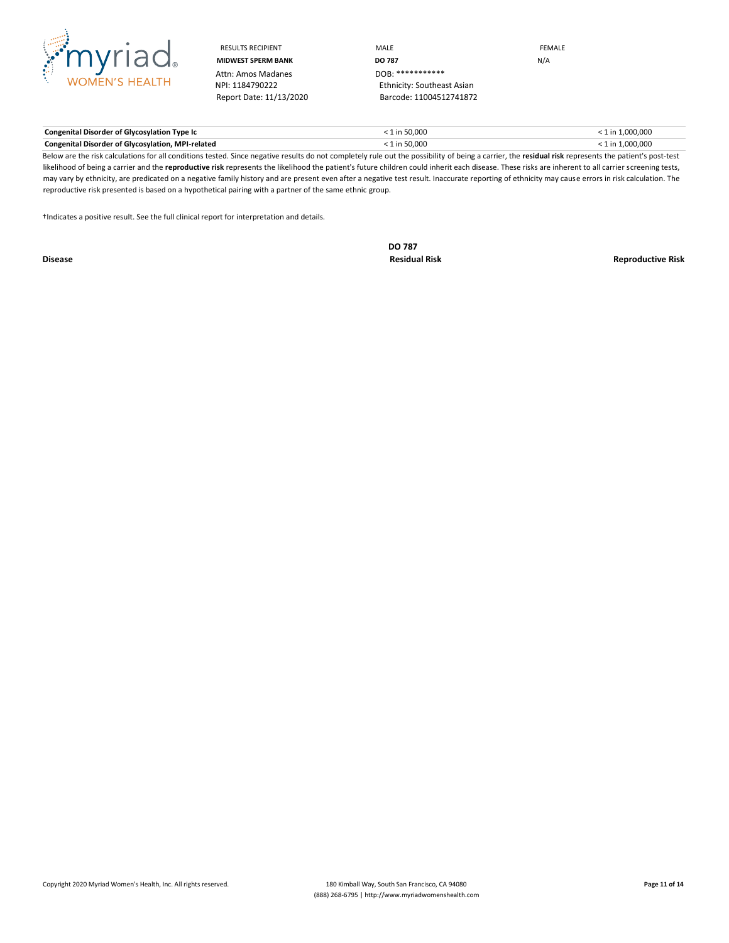

Attn: Amos Madanes<br>NPI: 1184790222

RESULTS RECIPIENT **MALE MALE EXAMPLE MIDWEST SPERM BANK DO 787** N/A Ethnicity: Southeast Asian Report Date: 11/13/2020 Barcode: 11004512741872

**Congenital Disorder of Glycosylation Type Ic** < 1 in 50,000 < 1 in 1,000,000 **Congenital Disorder of Glycosylation, MPI-related** < 1 in 50,000 < 1 in 1,000,000

Below are the risk calculations for all conditions tested. Since negative results do not completely rule out the possibility of being a carrier, the **residual risk** represents the patient's post-test likelihood of being a carrier and the **reproductive risk** represents the likelihood the patient's future children could inherit each disease. These risks are inherent to all carrier screening tests, may vary by ethnicity, are predicated on a negative family history and are present even after a negative test result. Inaccurate reporting of ethnicity may cause errors in risk calculation. The reproductive risk presented is based on a hypothetical pairing with a partner of the same ethnic group.

†Indicates a positive result. See the full clinical report for interpretation and details.

**DO 787**

**Disease Residual Risk Reproductive Risk**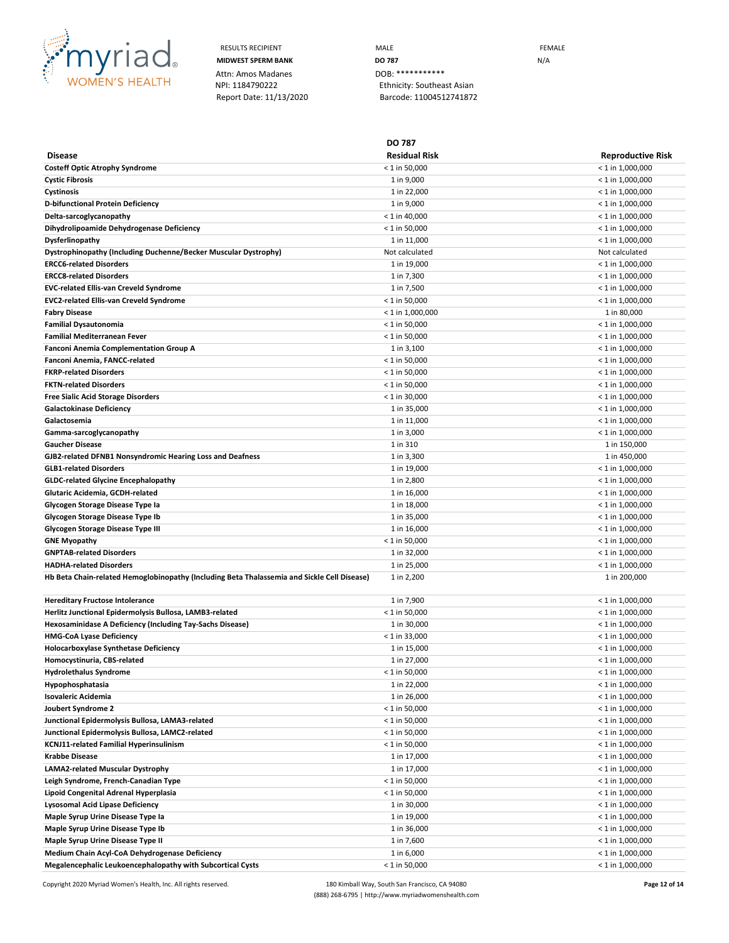

RESULTS RECIPIENT **MALE MALE EXAMPLE MIDWEST SPERM BANK DO 787 DO 787 N**/A Ethnicity: Southeast Asian Report Date: 11/13/2020 Barcode: 11004512741872

**DO 787**

| <b>Disease</b>                                                                              | <b>Residual Risk</b>         | <b>Reproductive Risk</b>                 |
|---------------------------------------------------------------------------------------------|------------------------------|------------------------------------------|
| <b>Costeff Optic Atrophy Syndrome</b>                                                       | $< 1$ in 50.000              | $< 1$ in 1,000,000                       |
| <b>Cystic Fibrosis</b>                                                                      | 1 in 9,000                   | $< 1$ in 1,000,000                       |
| Cystinosis                                                                                  | 1 in 22,000                  | $<$ 1 in 1,000,000                       |
| D-bifunctional Protein Deficiency                                                           | 1 in 9,000                   | $<$ 1 in 1,000,000                       |
| Delta-sarcoglycanopathy                                                                     | $< 1$ in 40,000              | $<$ 1 in 1,000,000                       |
| Dihydrolipoamide Dehydrogenase Deficiency                                                   | $< 1$ in 50,000              | $<$ 1 in 1,000,000                       |
| Dysferlinopathy                                                                             | 1 in 11,000                  | $<$ 1 in 1,000,000                       |
| Dystrophinopathy (Including Duchenne/Becker Muscular Dystrophy)                             | Not calculated               | Not calculated                           |
| <b>ERCC6-related Disorders</b>                                                              | 1 in 19,000                  | $<$ 1 in 1,000,000                       |
| <b>ERCC8-related Disorders</b>                                                              | 1 in 7,300                   | $< 1$ in 1,000,000                       |
| EVC-related Ellis-van Creveld Syndrome                                                      | 1 in 7,500                   | $<$ 1 in 1,000,000                       |
| <b>EVC2-related Ellis-van Creveld Syndrome</b>                                              | $< 1$ in 50,000              | $<$ 1 in 1,000,000                       |
| <b>Fabry Disease</b>                                                                        | $<$ 1 in 1,000,000           | 1 in 80,000                              |
| <b>Familial Dysautonomia</b>                                                                | $< 1$ in 50,000              | $<$ 1 in 1,000,000                       |
| Familial Mediterranean Fever                                                                | $< 1$ in 50,000              | $<$ 1 in 1,000,000                       |
| <b>Fanconi Anemia Complementation Group A</b>                                               | 1 in 3,100                   | $<$ 1 in 1,000,000                       |
| Fanconi Anemia, FANCC-related                                                               | $< 1$ in 50,000              | $<$ 1 in 1,000,000                       |
| <b>FKRP-related Disorders</b>                                                               | $<$ 1 in 50,000              | $<$ 1 in 1,000,000                       |
| <b>FKTN-related Disorders</b>                                                               | $< 1$ in 50,000              | $<$ 1 in 1,000,000                       |
| <b>Free Sialic Acid Storage Disorders</b>                                                   | $< 1$ in 30,000              | $<$ 1 in 1,000,000                       |
| <b>Galactokinase Deficiency</b>                                                             | 1 in 35,000                  | $<$ 1 in 1,000,000                       |
| Galactosemia                                                                                | 1 in 11,000                  | $<$ 1 in 1,000,000                       |
| Gamma-sarcoglycanopathy                                                                     | 1 in 3,000                   | $<$ 1 in 1,000,000                       |
| <b>Gaucher Disease</b>                                                                      | 1 in 310                     | 1 in 150,000                             |
| GJB2-related DFNB1 Nonsyndromic Hearing Loss and Deafness                                   | 1 in 3,300                   | 1 in 450,000                             |
| <b>GLB1-related Disorders</b>                                                               | 1 in 19,000                  | $<$ 1 in 1,000,000                       |
| <b>GLDC-related Glycine Encephalopathy</b>                                                  | 1 in 2,800                   | $<$ 1 in 1,000,000                       |
| Glutaric Acidemia, GCDH-related                                                             | 1 in 16,000                  | $<$ 1 in 1,000,000                       |
| Glycogen Storage Disease Type Ia                                                            | 1 in 18,000                  | $<$ 1 in 1,000,000                       |
| Glycogen Storage Disease Type Ib                                                            | 1 in 35,000                  | $<$ 1 in 1,000,000                       |
| <b>Glycogen Storage Disease Type III</b><br><b>GNE Myopathy</b>                             | 1 in 16,000<br>< 1 in 50,000 | $<$ 1 in 1,000,000<br>$<$ 1 in 1,000,000 |
| <b>GNPTAB-related Disorders</b>                                                             | 1 in 32,000                  | $<$ 1 in 1,000,000                       |
| <b>HADHA-related Disorders</b>                                                              | 1 in 25,000                  | $< 1$ in 1,000,000                       |
| Hb Beta Chain-related Hemoglobinopathy (Including Beta Thalassemia and Sickle Cell Disease) | 1 in 2,200                   | 1 in 200,000                             |
|                                                                                             |                              |                                          |
| Hereditary Fructose Intolerance                                                             | 1 in 7,900                   | $<$ 1 in 1,000,000                       |
| Herlitz Junctional Epidermolysis Bullosa, LAMB3-related                                     | $< 1$ in 50,000              | $<$ 1 in 1,000,000                       |
| Hexosaminidase A Deficiency (Including Tay-Sachs Disease)                                   | 1 in 30,000                  | $<$ 1 in 1,000,000                       |
| <b>HMG-CoA Lyase Deficiency</b>                                                             | $< 1$ in 33,000              | $< 1$ in 1,000,000                       |
| <b>Holocarboxylase Synthetase Deficiency</b>                                                | 1 in 15,000                  | $<$ 1 in 1,000,000                       |
| Homocystinuria, CBS-related                                                                 | 1 in 27,000                  | $<$ 1 in 1,000,000                       |
| <b>Hydrolethalus Syndrome</b>                                                               | $< 1$ in 50,000              | $< 1$ in 1,000,000                       |
| Hypophosphatasia                                                                            | 1 in 22,000                  | $<$ 1 in 1,000,000                       |
| <b>Isovaleric Acidemia</b>                                                                  | 1 in 26,000                  | $< 1$ in 1,000,000                       |
| Joubert Syndrome 2                                                                          | $< 1$ in 50,000              | $< 1$ in 1,000,000                       |
| Junctional Epidermolysis Bullosa, LAMA3-related                                             | $< 1$ in 50,000              | $<$ 1 in 1,000,000                       |
| Junctional Epidermolysis Bullosa, LAMC2-related                                             | $< 1$ in 50,000              | $<$ 1 in 1,000,000                       |
| KCNJ11-related Familial Hyperinsulinism                                                     | $< 1$ in 50,000              | $<$ 1 in 1,000,000                       |
| <b>Krabbe Disease</b>                                                                       | 1 in 17,000                  | $< 1$ in 1,000,000                       |
| LAMA2-related Muscular Dystrophy                                                            | 1 in 17,000                  | $<$ 1 in 1,000,000                       |
| Leigh Syndrome, French-Canadian Type                                                        | $< 1$ in 50,000              | $<$ 1 in 1,000,000                       |
| Lipoid Congenital Adrenal Hyperplasia                                                       | $< 1$ in 50,000              | $<$ 1 in 1,000,000                       |
| <b>Lysosomal Acid Lipase Deficiency</b>                                                     | 1 in 30,000                  | $< 1$ in 1,000,000                       |
| Maple Syrup Urine Disease Type la                                                           | 1 in 19,000                  | $<$ 1 in 1,000,000                       |
| Maple Syrup Urine Disease Type Ib                                                           | 1 in 36,000                  | $<$ 1 in 1,000,000                       |
| Maple Syrup Urine Disease Type II                                                           | 1 in 7,600                   | $<$ 1 in 1,000,000                       |
| Medium Chain Acyl-CoA Dehydrogenase Deficiency                                              | 1 in 6,000                   | $<$ 1 in 1,000,000                       |
| Megalencephalic Leukoencephalopathy with Subcortical Cysts                                  | $< 1$ in 50,000              | $< 1$ in 1,000,000                       |

Copyright 2020 Myriad Women's Health, Inc. All rights reserved. 180 Kimball Way, South San Francisco, CA 94080 **Page 12 of 14** (888) 268-6795 | http://www.myriadwomenshealth.com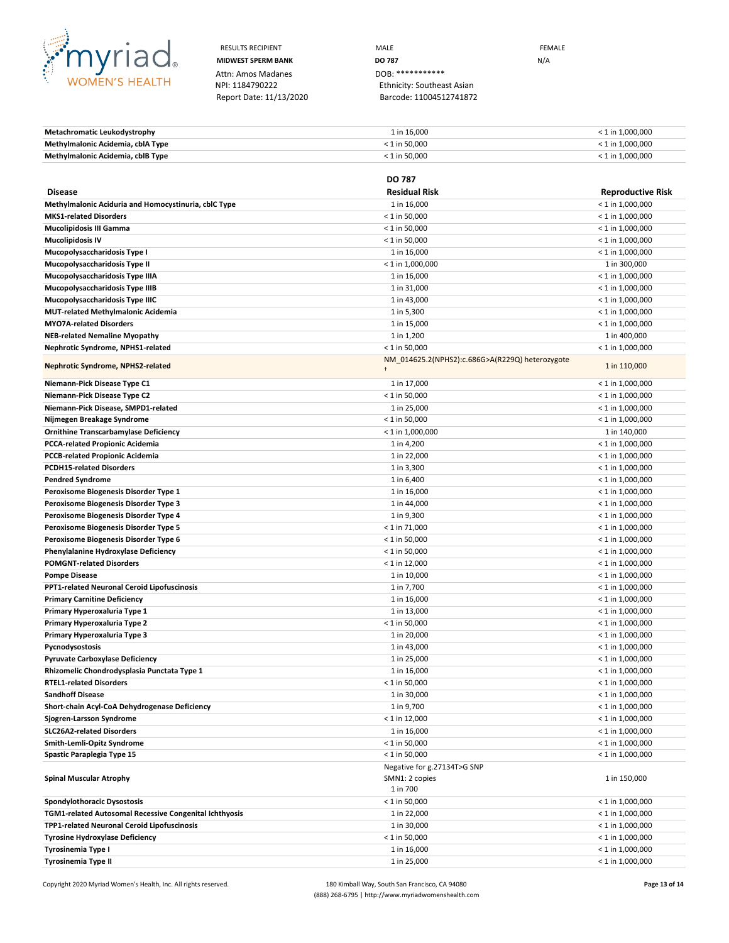

Attn: Amos Madanes<br>NPI: 1184790222

RESULTS RECIPIENT **MALE MALE EXAMPLE MIDWEST SPERM BANK DO 787** N/A Ethnicity: Southeast Asian Report Date: 11/13/2020 Barcode: 11004512741872

**Metachromatic Leukodystrophy**  $1 \text{ in } 16,000$   $\leq 1 \text{ in } 1,000,000$ **Methylmalonic Acidemia, cblA Type** < 1 in 50,000 < 1 in 1,000,000 **Methylmalonic Acidemia, cblB Type** < 1 in 50,000 < 1 in 1,000,000

|                                                        | <b>DO 787</b>                                   |                          |
|--------------------------------------------------------|-------------------------------------------------|--------------------------|
| <b>Disease</b>                                         | <b>Residual Risk</b>                            | <b>Reproductive Risk</b> |
| Methylmalonic Aciduria and Homocystinuria, cbIC Type   | 1 in 16,000                                     | $<$ 1 in 1,000,000       |
| <b>MKS1-related Disorders</b>                          | $<$ 1 in 50,000                                 | $< 1$ in 1,000,000       |
| <b>Mucolipidosis III Gamma</b>                         | $< 1$ in 50,000                                 | $<$ 1 in 1,000,000       |
| <b>Mucolipidosis IV</b>                                | $<$ 1 in 50,000                                 | $< 1$ in 1,000,000       |
| Mucopolysaccharidosis Type I                           | 1 in 16,000                                     | $<$ 1 in 1,000,000       |
| Mucopolysaccharidosis Type II                          | $<$ 1 in 1,000,000                              | 1 in 300,000             |
| Mucopolysaccharidosis Type IIIA                        | 1 in 16,000                                     | $<$ 1 in 1,000,000       |
| Mucopolysaccharidosis Type IIIB                        | 1 in 31,000                                     | $<$ 1 in 1,000,000       |
| Mucopolysaccharidosis Type IIIC                        | 1 in 43,000                                     | $<$ 1 in 1,000,000       |
| <b>MUT-related Methylmalonic Acidemia</b>              | 1 in 5,300                                      | $<$ 1 in 1,000,000       |
| <b>MYO7A-related Disorders</b>                         | 1 in 15,000                                     | $< 1$ in 1,000,000       |
| <b>NEB-related Nemaline Myopathy</b>                   | 1 in 1,200                                      | 1 in 400,000             |
| Nephrotic Syndrome, NPHS1-related                      | $< 1$ in 50,000                                 | $<$ 1 in 1,000,000       |
| Nephrotic Syndrome, NPHS2-related                      | NM_014625.2(NPHS2):c.686G>A(R229Q) heterozygote | 1 in 110,000             |
| Niemann-Pick Disease Type C1                           | 1 in 17,000                                     | $<$ 1 in 1,000,000       |
| Niemann-Pick Disease Type C2                           | $< 1$ in 50,000                                 | $<$ 1 in 1,000,000       |
| Niemann-Pick Disease, SMPD1-related                    | 1 in 25,000                                     | $<$ 1 in 1,000,000       |
| Nijmegen Breakage Syndrome                             | $< 1$ in 50,000                                 | $<$ 1 in 1,000,000       |
| <b>Ornithine Transcarbamylase Deficiency</b>           | $< 1$ in 1,000,000                              | 1 in 140,000             |
| <b>PCCA-related Propionic Acidemia</b>                 | 1 in 4,200                                      | $<$ 1 in 1,000,000       |
| <b>PCCB-related Propionic Acidemia</b>                 | 1 in 22,000                                     | $< 1$ in 1,000,000       |
| <b>PCDH15-related Disorders</b>                        | 1 in 3,300                                      | $<$ 1 in 1,000,000       |
| <b>Pendred Syndrome</b>                                | 1 in 6,400                                      | $<$ 1 in 1,000,000       |
| Peroxisome Biogenesis Disorder Type 1                  | 1 in 16,000                                     | $<$ 1 in 1,000,000       |
| Peroxisome Biogenesis Disorder Type 3                  | 1 in 44,000                                     | $<$ 1 in 1,000,000       |
| Peroxisome Biogenesis Disorder Type 4                  | 1 in 9,300                                      | $<$ 1 in 1,000,000       |
| Peroxisome Biogenesis Disorder Type 5                  | $<$ 1 in 71,000                                 | $<$ 1 in 1,000,000       |
| Peroxisome Biogenesis Disorder Type 6                  | $<$ 1 in 50,000                                 | $<$ 1 in 1,000,000       |
| Phenylalanine Hydroxylase Deficiency                   | $<$ 1 in 50,000                                 | $<$ 1 in 1,000,000       |
| <b>POMGNT-related Disorders</b>                        | $< 1$ in 12,000                                 | $<$ 1 in 1,000,000       |
| <b>Pompe Disease</b>                                   | 1 in 10,000                                     | $<$ 1 in 1,000,000       |
| <b>PPT1-related Neuronal Ceroid Lipofuscinosis</b>     | 1 in 7,700                                      | $<$ 1 in 1,000,000       |
| <b>Primary Carnitine Deficiency</b>                    | 1 in 16,000                                     | $<$ 1 in 1,000,000       |
| Primary Hyperoxaluria Type 1                           | 1 in 13,000                                     | $<$ 1 in 1,000,000       |
| Primary Hyperoxaluria Type 2                           | $< 1$ in 50,000                                 | $<$ 1 in 1,000,000       |
| Primary Hyperoxaluria Type 3                           | 1 in 20,000                                     | $<$ 1 in 1,000,000       |
| Pycnodysostosis                                        | 1 in 43,000                                     | $<$ 1 in 1,000,000       |
| <b>Pyruvate Carboxylase Deficiency</b>                 | 1 in 25,000                                     | $<$ 1 in 1,000,000       |
| Rhizomelic Chondrodysplasia Punctata Type 1            | 1 in 16,000                                     | $<$ 1 in 1,000,000       |
| <b>RTEL1-related Disorders</b>                         | $< 1$ in 50,000                                 | $<$ 1 in 1,000,000       |
| <b>Sandhoff Disease</b>                                | 1 in 30,000                                     | $<$ 1 in 1,000,000       |
| Short-chain Acyl-CoA Dehydrogenase Deficiency          | 1 in 9,700                                      | $<$ 1 in 1,000,000       |
| Sjogren-Larsson Syndrome                               | $< 1$ in 12,000                                 | $<$ 1 in 1,000,000       |
| <b>SLC26A2-related Disorders</b>                       | 1 in 16,000                                     | $<$ 1 in 1,000,000       |
| Smith-Lemli-Opitz Syndrome                             | $< 1$ in 50,000                                 | $< 1$ in 1,000,000       |
| Spastic Paraplegia Type 15                             | $< 1$ in 50,000                                 | $< 1$ in 1,000,000       |
| <b>Spinal Muscular Atrophy</b>                         | Negative for g.27134T>G SNP<br>SMN1: 2 copies   | 1 in 150,000             |
|                                                        | 1 in 700                                        |                          |
| Spondylothoracic Dysostosis                            | $< 1$ in 50,000                                 | $<$ 1 in 1,000,000       |
| TGM1-related Autosomal Recessive Congenital Ichthyosis | 1 in 22,000                                     | $< 1$ in 1,000,000       |
| TPP1-related Neuronal Ceroid Lipofuscinosis            | 1 in 30,000                                     | $<$ 1 in 1,000,000       |
| <b>Tyrosine Hydroxylase Deficiency</b>                 | $< 1$ in 50,000                                 | $<$ 1 in 1,000,000       |
| Tyrosinemia Type I                                     | 1 in 16,000                                     | $<$ 1 in 1,000,000       |
| <b>Tyrosinemia Type II</b>                             | 1 in 25,000                                     | $< 1$ in 1,000,000       |
|                                                        |                                                 |                          |

Copyright 2020 Myriad Women's Health, Inc. All rights reserved. 180 Kimball Way, South San Francisco, CA 94080 **Page 13 of 14** (888) 268-6795 | http://www.myriadwomenshealth.com